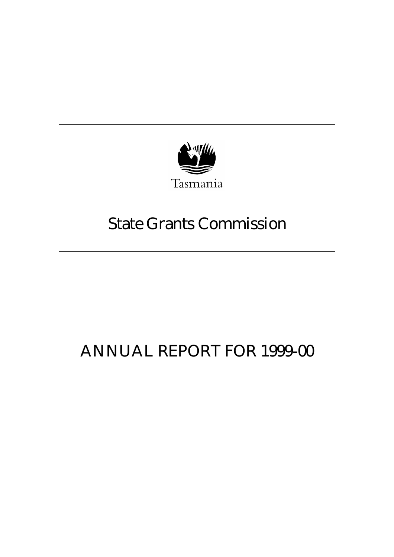

# State Grants Commission

# ANNUAL REPORT FOR 1999-00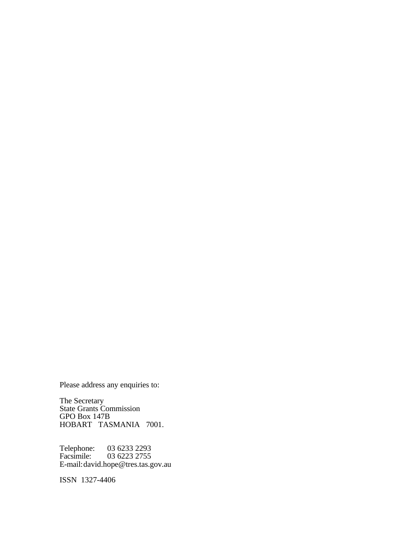Please address any enquiries to:

The Secretary State Grants Commission GPO Box 147B HOBART TASMANIA 7001.

Telephone: 03 6233 2293 Facsimile: 03 6223 2755 E-mail:david.hope@tres.tas.gov.au

ISSN 1327-4406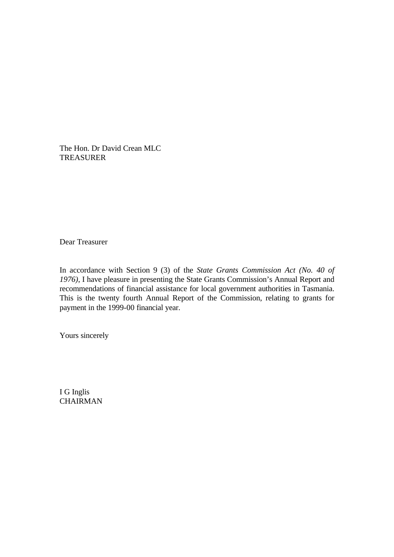The Hon. Dr David Crean MLC TREASURER

Dear Treasurer

In accordance with Section 9 (3) of the *State Grants Commission Act (No. 40 of 1976)*, I have pleasure in presenting the State Grants Commission's Annual Report and recommendations of financial assistance for local government authorities in Tasmania. This is the twenty fourth Annual Report of the Commission, relating to grants for payment in the 1999-00 financial year.

Yours sincerely

I G Inglis CHAIRMAN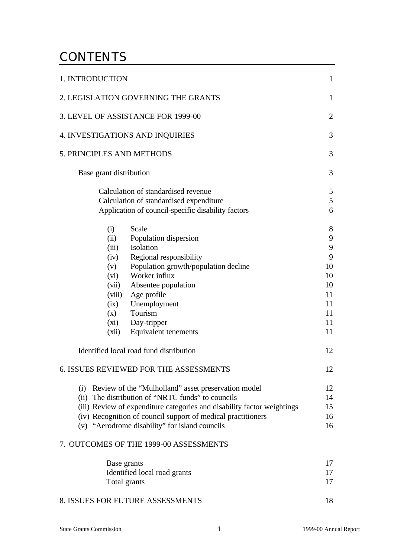### **CONTENTS**

| 1. INTRODUCTION                                                                                                                                                                                                                                                                                                                                                               | $\mathbf{1}$                                                           |
|-------------------------------------------------------------------------------------------------------------------------------------------------------------------------------------------------------------------------------------------------------------------------------------------------------------------------------------------------------------------------------|------------------------------------------------------------------------|
| 2. LEGISLATION GOVERNING THE GRANTS                                                                                                                                                                                                                                                                                                                                           | $\mathbf{1}$                                                           |
| 3. LEVEL OF ASSISTANCE FOR 1999-00                                                                                                                                                                                                                                                                                                                                            | $\overline{2}$                                                         |
| 4. INVESTIGATIONS AND INQUIRIES                                                                                                                                                                                                                                                                                                                                               | 3                                                                      |
| 5. PRINCIPLES AND METHODS                                                                                                                                                                                                                                                                                                                                                     | 3                                                                      |
| Base grant distribution                                                                                                                                                                                                                                                                                                                                                       | 3                                                                      |
| Calculation of standardised revenue<br>Calculation of standardised expenditure<br>Application of council-specific disability factors                                                                                                                                                                                                                                          | 5<br>5<br>6                                                            |
| Scale<br>(i)<br>Population dispersion<br>(ii)<br>Isolation<br>(iii)<br>Regional responsibility<br>(iv)<br>Population growth/population decline<br>(v)<br>Worker influx<br>(vi)<br>Absentee population<br>(vii)<br>Age profile<br>(viii)<br>(ix) Unemployment<br>$(x)$ Tourism<br>(xi) Day-tripper<br>Equivalent tenements<br>(xii)<br>Identified local road fund distribution | 8<br>9<br>9<br>9<br>10<br>10<br>10<br>11<br>11<br>11<br>11<br>11<br>12 |
| 6. ISSUES REVIEWED FOR THE ASSESSMENTS<br>(i) Review of the "Mulholland" asset preservation model<br>(ii) The distribution of "NRTC funds" to councils<br>(iii) Review of expenditure categories and disability factor weightings<br>(iv) Recognition of council support of medical practitioners<br>(v) "Aerodrome disability" for island councils                           | 12<br>12<br>14<br>15<br>16<br>16                                       |
| 7. OUTCOMES OF THE 1999-00 ASSESSMENTS                                                                                                                                                                                                                                                                                                                                        |                                                                        |
| Base grants<br>Identified local road grants<br>Total grants                                                                                                                                                                                                                                                                                                                   | 17<br>17<br>17                                                         |
| 8. ISSUES FOR FUTURE ASSESSMENTS                                                                                                                                                                                                                                                                                                                                              | 18                                                                     |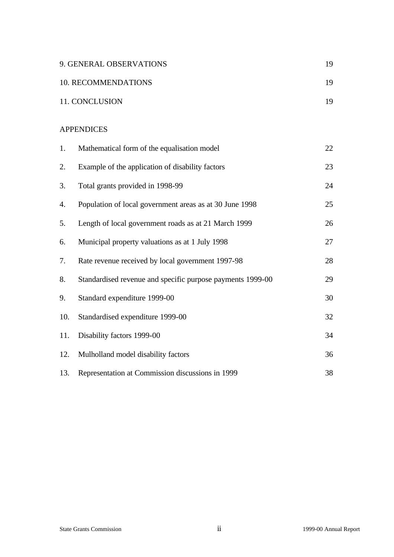|     | 9. GENERAL OBSERVATIONS                                    | 19 |
|-----|------------------------------------------------------------|----|
|     | 10. RECOMMENDATIONS                                        | 19 |
|     | 11. CONCLUSION                                             | 19 |
|     | <b>APPENDICES</b>                                          |    |
| 1.  | Mathematical form of the equalisation model                | 22 |
| 2.  | Example of the application of disability factors           | 23 |
| 3.  | Total grants provided in 1998-99                           | 24 |
| 4.  | Population of local government areas as at 30 June 1998    | 25 |
| 5.  | Length of local government roads as at 21 March 1999       | 26 |
| 6.  | Municipal property valuations as at 1 July 1998            | 27 |
| 7.  | Rate revenue received by local government 1997-98          | 28 |
| 8.  | Standardised revenue and specific purpose payments 1999-00 | 29 |
| 9.  | Standard expenditure 1999-00                               | 30 |
| 10. | Standardised expenditure 1999-00                           | 32 |
| 11. | Disability factors 1999-00                                 | 34 |
| 12. | Mulholland model disability factors                        | 36 |
| 13. | Representation at Commission discussions in 1999           | 38 |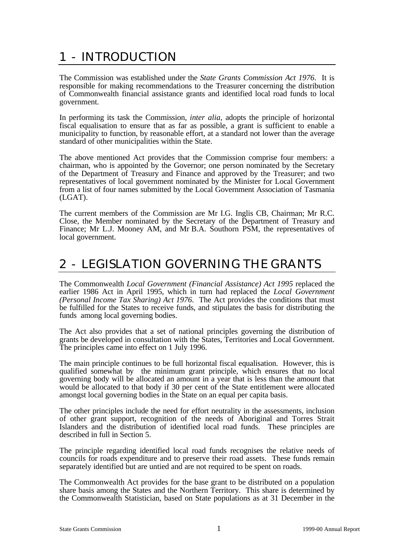### 1 - INTRODUCTION

The Commission was established under the *State Grants Commission Act 1976*. It is responsible for making recommendations to the Treasurer concerning the distribution of Commonwealth financial assistance grants and identified local road funds to local government.

In performing its task the Commission, *inter alia*, adopts the principle of horizontal fiscal equalisation to ensure that as far as possible, a grant is sufficient to enable a municipality to function, by reasonable effort, at a standard not lower than the average standard of other municipalities within the State.

The above mentioned Act provides that the Commission comprise four members: a chairman, who is appointed by the Governor; one person nominated by the Secretary of the Department of Treasury and Finance and approved by the Treasurer; and two representatives of local government nominated by the Minister for Local Government from a list of four names submitted by the Local Government Association of Tasmania (LGAT).

The current members of the Commission are Mr I.G. Inglis CB, Chairman; Mr R.C. Close, the Member nominated by the Secretary of the Department of Treasury and Finance; Mr L.J. Mooney AM, and Mr B.A. Southorn PSM, the representatives of local government.

### 2 - LEGISLATION GOVERNING THE GRANTS

The Commonwealth *Local Government (Financial Assistance) Act 1995* replaced the earlier 1986 Act in April 1995, which in turn had replaced the *Local Government (Personal Income Tax Sharing) Act 1976*. The Act provides the conditions that must be fulfilled for the States to receive funds, and stipulates the basis for distributing the funds among local governing bodies.

The Act also provides that a set of national principles governing the distribution of grants be developed in consultation with the States, Territories and Local Government. The principles came into effect on 1 July 1996.

The main principle continues to be full horizontal fiscal equalisation. However, this is qualified somewhat by the minimum grant principle, which ensures that no local governing body will be allocated an amount in a year that is less than the amount that would be allocated to that body if 30 per cent of the State entitlement were allocated amongst local governing bodies in the State on an equal per capita basis.

The other principles include the need for effort neutrality in the assessments, inclusion of other grant support, recognition of the needs of Aboriginal and Torres Strait Islanders and the distribution of identified local road funds. These principles are described in full in Section 5.

The principle regarding identified local road funds recognises the relative needs of councils for roads expenditure and to preserve their road assets. These funds remain separately identified but are untied and are not required to be spent on roads.

The Commonwealth Act provides for the base grant to be distributed on a population share basis among the States and the Northern Territory. This share is determined by the Commonwealth Statistician, based on State populations as at 31 December in the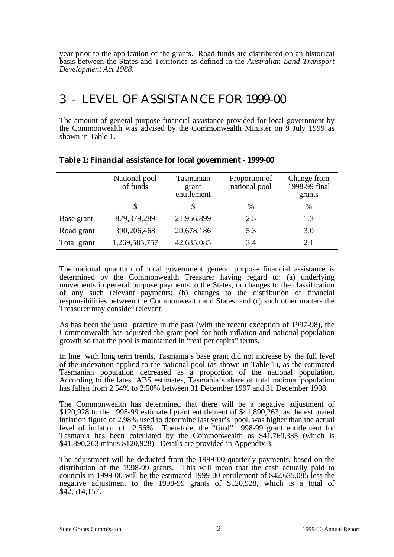year prior to the application of the grants. Road funds are distributed on an historical basis between the States and Territories as defined in the *Australian Land Transport Development Act 1988*.

### 3 - LEVEL OF ASSISTANCE FOR 1999-00

The amount of general purpose financial assistance provided for local government by the Commonwealth was advised by the Commonwealth Minister on  $\overline{9}$  July 1999 as shown in Table 1.

|             | National pool<br>of funds | Tasmanian<br>grant<br>entitlement | Proportion of<br>national pool | Change from<br>1998-99 final<br>grants |
|-------------|---------------------------|-----------------------------------|--------------------------------|----------------------------------------|
|             |                           |                                   | %                              | $\%$                                   |
| Base grant  | 879,379,289               | 21,956,899                        | 2.5                            | 1.3                                    |
| Road grant  | 390,206,468               | 20,678,186                        | 5.3                            | 3.0                                    |
| Total grant | 1,269,585,757             | 42,635,085                        | 3.4                            | 2.1                                    |

#### **Table 1: Financial assistance for local government - 1999-00**

The national quantum of local government general purpose financial assistance is determined by the Commonwealth Treasurer having regard to: (a) underlying movements in general purpose payments to the States, or changes to the classification of any such relevant payments; (b) changes to the distribution of financial responsibilities between the Commonwealth and States; and (c) such other matters the Treasurer may consider relevant.

As has been the usual practice in the past (with the recent exception of 1997-98), the Commonwealth has adjusted the grant pool for both inflation and national population growth so that the pool is maintained in "real per capita" terms.

In line with long term trends, Tasmania's base grant did not increase by the full level of the indexation applied to the national pool (as shown in Table 1), as the estimated Tasmanian population decreased as a proportion of the national population. According to the latest ABS estimates, Tasmania's share of total national population has fallen from 2.54% to 2.50% between 31 December 1997 and 31 December 1998.

The Commonwealth has determined that there will be a negative adjustment of \$120,928 to the 1998-99 estimated grant entitlement of \$41,890,263, as the estimated inflation figure of 2.98% used to determine last year's pool, was higher than the actual level of inflation of 2.56%. Therefore, the "final" 1998-99 grant entitlement for Tasmania has been calculated by the Commonwealth as \$41,769,335 (which is \$41,890,263 minus \$120,928). Details are provided in Appendix 3.

The adjustment will be deducted from the 1999-00 quarterly payments, based on the distribution of the 1998-99 grants. This will mean that the cash actually paid to councils in 1999-00 will be the estimated 1999-00 entitlement of \$42,635,085 less the negative adjustment to the 1998-99 grants of \$120,928, which is a total of  $$42,514,157.$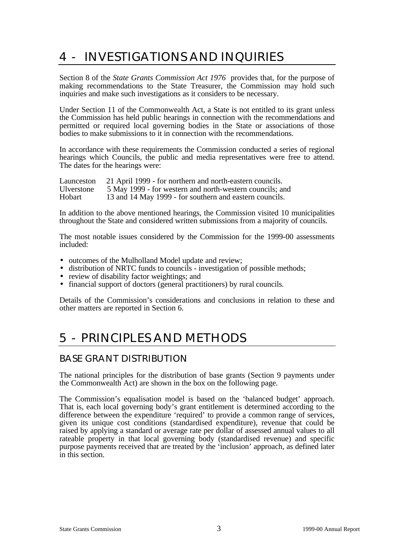## 4 - INVESTIGATIONS AND INQUIRIES

Section 8 of the *State Grants Commission Act 1976* provides that, for the purpose of making recommendations to the State Treasurer, the Commission may hold such inquiries and make such investigations as it considers to be necessary.

Under Section 11 of the Commonwealth Act, a State is not entitled to its grant unless the Commission has held public hearings in connection with the recommendations and permitted or required local governing bodies in the State or associations of those bodies to make submissions to it in connection with the recommendations.

In accordance with these requirements the Commission conducted a series of regional hearings which Councils, the public and media representatives were free to attend. The dates for the hearings were:

| Launceston | 21 April 1999 - for northern and north-eastern councils. |
|------------|----------------------------------------------------------|
| Ulverstone | 5 May 1999 - for western and north-western councils; and |
| Hobart     | 13 and 14 May 1999 - for southern and eastern councils.  |

In addition to the above mentioned hearings, the Commission visited 10 municipalities throughout the State and considered written submissions from a majority of councils.

The most notable issues considered by the Commission for the 1999-00 assessments included:

- outcomes of the Mulholland Model update and review;
- distribution of NRTC funds to councils investigation of possible methods;
- review of disability factor weightings; and
- financial support of doctors (general practitioners) by rural councils.

Details of the Commission's considerations and conclusions in relation to these and other matters are reported in Section 6.

### 5 - PRINCIPLES AND METHODS

#### BASE GRANT DISTRIBUTION

The national principles for the distribution of base grants (Section 9 payments under the Commonwealth Act) are shown in the box on the following page.

The Commission's equalisation model is based on the 'balanced budget' approach. That is, each local governing body's grant entitlement is determined according to the difference between the expenditure 'required' to provide a common range of services, given its unique cost conditions (standardised expenditure), revenue that could be raised by applying a standard or average rate per dollar of assessed annual values to all rateable property in that local governing body (standardised revenue) and specific purpose payments received that are treated by the 'inclusion' approach, as defined later in this section.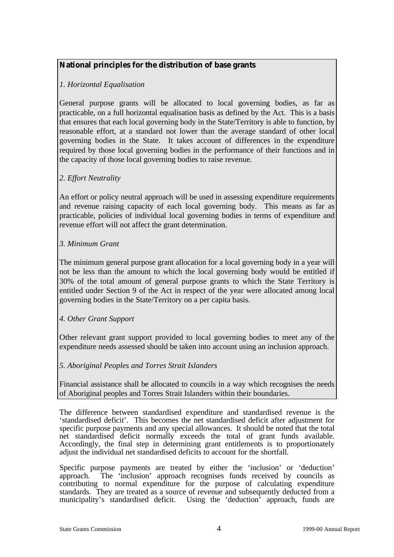#### **National principles for the distribution of base grants**

#### *1. Horizontal Equalisation*

General purpose grants will be allocated to local governing bodies, as far as practicable, on a full horizontal equalisation basis as defined by the Act. This is a basis that ensures that each local governing body in the State/Territory is able to function, by reasonable effort, at a standard not lower than the average standard of other local governing bodies in the State. It takes account of differences in the expenditure required by those local governing bodies in the performance of their functions and in the capacity of those local governing bodies to raise revenue.

#### *2. Effort Neutrality*

An effort or policy neutral approach will be used in assessing expenditure requirements and revenue raising capacity of each local governing body. This means as far as practicable, policies of individual local governing bodies in terms of expenditure and revenue effort will not affect the grant determination.

#### *3. Minimum Grant*

The minimum general purpose grant allocation for a local governing body in a year will not be less than the amount to which the local governing body would be entitled if 30% of the total amount of general purpose grants to which the State Territory is entitled under Section 9 of the Act in respect of the year were allocated among local governing bodies in the State/Territory on a per capita basis.

#### *4. Other Grant Support*

Other relevant grant support provided to local governing bodies to meet any of the expenditure needs assessed should be taken into account using an inclusion approach.

#### *5. Aboriginal Peoples and Torres Strait Islanders*

Financial assistance shall be allocated to councils in a way which recognises the needs of Aboriginal peoples and Torres Strait Islanders within their boundaries.

The difference between standardised expenditure and standardised revenue is the 'standardised deficit'. This becomes the net standardised deficit after adjustment for specific purpose payments and any special allowances. It should be noted that the total net standardised deficit normally exceeds the total of grant funds available. Accordingly, the final step in determining grant entitlements is to proportionately adjust the individual net standardised deficits to account for the shortfall.

Specific purpose payments are treated by either the 'inclusion' or 'deduction' The 'inclusion' approach recognises funds received by councils as contributing to normal expenditure for the purpose of calculating expenditure standards. They are treated as a source of revenue and subsequently deducted from a municipality's standardised deficit. Using the 'deduction' approach, funds are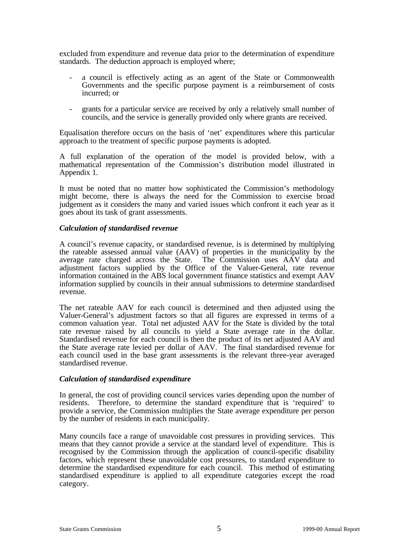excluded from expenditure and revenue data prior to the determination of expenditure standards. The deduction approach is employed where;

- a council is effectively acting as an agent of the State or Commonwealth Governments and the specific purpose payment is a reimbursement of costs incurred; or
- grants for a particular service are received by only a relatively small number of councils, and the service is generally provided only where grants are received.

Equalisation therefore occurs on the basis of 'net' expenditures where this particular approach to the treatment of specific purpose payments is adopted.

A full explanation of the operation of the model is provided below, with a mathematical representation of the Commission's distribution model illustrated in Appendix 1.

It must be noted that no matter how sophisticated the Commission's methodology might become, there is always the need for the Commission to exercise broad judgement as it considers the many and varied issues which confront it each year as it goes about its task of grant assessments.

#### *Calculation of standardised revenue*

A council's revenue capacity, or standardised revenue, is is determined by multiplying the rateable assessed annual value (AAV) of properties in the municipality by the average rate charged across the State. The Commission uses AAV data and adjustment factors supplied by the Office of the Valuer-General, rate revenue information contained in the ABS local government finance statistics and exempt AAV information supplied by councils in their annual submissions to determine standardised revenue.

The net rateable AAV for each council is determined and then adjusted using the Valuer-General's adjustment factors so that all figures are expressed in terms of a common valuation year. Total net adjusted AAV for the State is divided by the total rate revenue raised by all councils to yield a State average rate in the dollar. Standardised revenue for each council is then the product of its net adjusted AAV and the State average rate levied per dollar of AAV. The final standardised revenue for each council used in the base grant assessments is the relevant three-year averaged standardised revenue.

#### *Calculation of standardised expenditure*

In general, the cost of providing council services varies depending upon the number of residents. Therefore, to determine the standard expenditure that is 'required' to provide a service, the Commission multiplies the State average expenditure per person by the number of residents in each municipality.

Many councils face a range of unavoidable cost pressures in providing services. This means that they cannot provide a service at the standard level of expenditure. This is recognised by the Commission through the application of council-specific disability factors, which represent these unavoidable cost pressures, to standard expenditure to determine the standardised expenditure for each council. This method of estimating standardised expenditure is applied to all expenditure categories except the road category.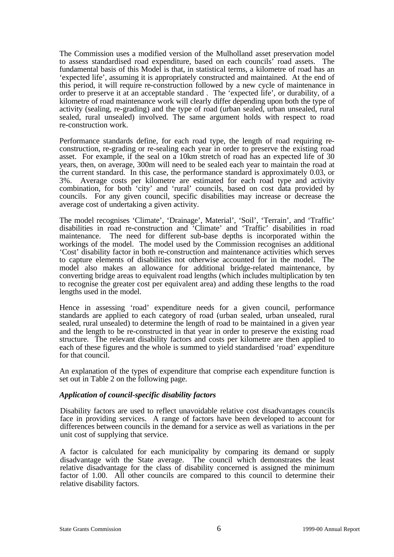The Commission uses a modified version of the Mulholland asset preservation model to assess standardised road expenditure, based on each councils' road assets. The fundamental basis of this Model is that, in statistical terms, a kilometre of road has an 'expected life', assuming it is appropriately constructed and maintained. At the end of this period, it will require re-construction followed by a new cycle of maintenance in order to preserve it at an acceptable standard . The 'expected life', or durability, of a kilometre of road maintenance work will clearly differ depending upon both the type of activity (sealing, re-grading) and the type of road (urban sealed, urban unsealed, rural sealed, rural unsealed) involved. The same argument holds with respect to road re-construction work.

Performance standards define, for each road type, the length of road requiring reconstruction, re-grading or re-sealing each year in order to preserve the existing road asset. For example, if the seal on a 10km stretch of road has an expected life of 30 years, then, on average, 300m will need to be sealed each year to maintain the road at the current standard. In this case, the performance standard is approximately 0.03, or 3%. Average costs per kilometre are estimated for each road type and activity combination, for both 'city' and 'rural' councils, based on cost data provided by councils. For any given council, specific disabilities may increase or decrease the average cost of undertaking a given activity.

The model recognises 'Climate', 'Drainage', Material', 'Soil', 'Terrain', and 'Traffic' disabilities in road re-construction and 'Climate' and 'Traffic' disabilities in road maintenance. The need for different sub-base depths is incorporated within the workings of the model. The model used by the Commission recognises an additional 'Cost' disability factor in both re-construction and maintenance activities which serves to capture elements of disabilities not otherwise accounted for in the model. The model also makes an allowance for additional bridge-related maintenance, by converting bridge areas to equivalent road lengths (which includes multiplication by ten to recognise the greater cost per equivalent area) and adding these lengths to the road lengths used in the model.

Hence in assessing 'road' expenditure needs for a given council, performance standards are applied to each category of road (urban sealed, urban unsealed, rural sealed, rural unsealed) to determine the length of road to be maintained in a given year and the length to be re-constructed in that year in order to preserve the existing road structure. The relevant disability factors and costs per kilometre are then applied to each of these figures and the whole is summed to yield standardised 'road' expenditure for that council.

An explanation of the types of expenditure that comprise each expenditure function is set out in Table 2 on the following page.

#### *Application of council-specific disability factors*

Disability factors are used to reflect unavoidable relative cost disadvantages councils face in providing services. A range of factors have been developed to account for differences between councils in the demand for a service as well as variations in the per unit cost of supplying that service.

A factor is calculated for each municipality by comparing its demand or supply disadvantage with the State average. The council which demonstrates the least relative disadvantage for the class of disability concerned is assigned the minimum factor of 1.00. All other councils are compared to this council to determine their relative disability factors.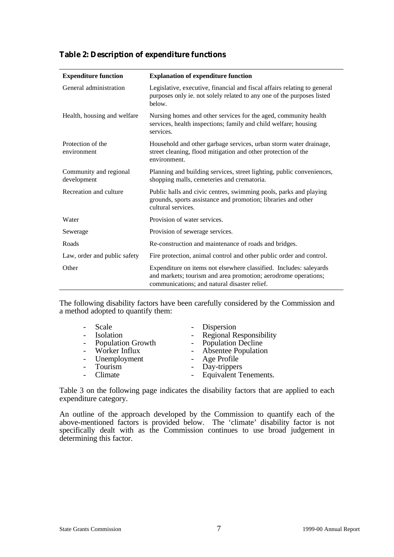| <b>Table 2: Description of expenditure functions</b> |  |  |  |
|------------------------------------------------------|--|--|--|
|------------------------------------------------------|--|--|--|

| <b>Expenditure function</b>           | <b>Explanation of expenditure function</b>                                                                                                                                           |
|---------------------------------------|--------------------------------------------------------------------------------------------------------------------------------------------------------------------------------------|
| General administration                | Legislative, executive, financial and fiscal affairs relating to general<br>purposes only ie. not solely related to any one of the purposes listed<br>below.                         |
| Health, housing and welfare           | Nursing homes and other services for the aged, community health<br>services, health inspections; family and child welfare; housing<br>services.                                      |
| Protection of the<br>environment      | Household and other garbage services, urban storm water drainage,<br>street cleaning, flood mitigation and other protection of the<br>environment.                                   |
| Community and regional<br>development | Planning and building services, street lighting, public conveniences,<br>shopping malls, cemeteries and crematoria.                                                                  |
| Recreation and culture                | Public halls and civic centres, swimming pools, parks and playing<br>grounds, sports assistance and promotion; libraries and other<br>cultural services.                             |
| Water                                 | Provision of water services.                                                                                                                                                         |
| Sewerage                              | Provision of sewerage services.                                                                                                                                                      |
| Roads                                 | Re-construction and maintenance of roads and bridges.                                                                                                                                |
| Law, order and public safety          | Fire protection, animal control and other public order and control.                                                                                                                  |
| Other                                 | Expenditure on items not elsewhere classified. Includes: saleyards<br>and markets; tourism and area promotion; aerodrome operations;<br>communications; and natural disaster relief. |

The following disability factors have been carefully considered by the Commission and a method adopted to quantify them:

| - Scale             | - Dispersion              |
|---------------------|---------------------------|
| - Isolation         | - Regional Responsibility |
| - Population Growth | - Population Decline      |
| - Worker Influx     | - Absentee Population     |
| - Unemployment      | - Age Profile             |
| - Tourism           | - Day-trippers            |
| - Climate           | - Equivalent Tenements.   |

Table 3 on the following page indicates the disability factors that are applied to each expenditure category.

An outline of the approach developed by the Commission to quantify each of the above-mentioned factors is provided below. The 'climate' disability factor is not specifically dealt with as the Commission continues to use broad judgement in determining this factor.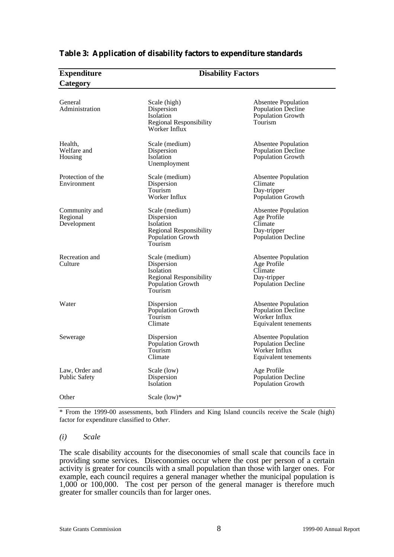| <b>Expenditure</b><br><b>Disability Factors</b> |                                                                                                                    |                                                                                                  |
|-------------------------------------------------|--------------------------------------------------------------------------------------------------------------------|--------------------------------------------------------------------------------------------------|
| Category                                        |                                                                                                                    |                                                                                                  |
| General<br>Administration                       | Scale (high)<br>Dispersion<br>Isolation<br><b>Regional Responsibility</b><br>Worker Influx                         | Absentee Population<br><b>Population Decline</b><br>Population Growth<br>Tourism                 |
| Health,<br>Welfare and<br>Housing               | Scale (medium)<br>Dispersion<br>Isolation<br>Unemployment                                                          | Absentee Population<br>Population Decline<br>Population Growth                                   |
| Protection of the<br>Environment                | Scale (medium)<br>Dispersion<br>Tourism<br>Worker Influx                                                           | <b>Absentee Population</b><br>Climate<br>Day-tripper<br>Population Growth                        |
| Community and<br>Regional<br>Development        | Scale (medium)<br>Dispersion<br><b>Isolation</b><br><b>Regional Responsibility</b><br>Population Growth<br>Tourism | <b>Absentee Population</b><br>Age Profile<br>Climate<br>Day-tripper<br><b>Population Decline</b> |
| Recreation and<br>Culture                       | Scale (medium)<br>Dispersion<br>Isolation<br><b>Regional Responsibility</b><br>Population Growth<br>Tourism        | <b>Absentee Population</b><br>Age Profile<br>Climate<br>Day-tripper<br><b>Population Decline</b> |
| Water                                           | Dispersion<br>Population Growth<br>Tourism<br>Climate                                                              | <b>Absentee Population</b><br><b>Population Decline</b><br>Worker Influx<br>Equivalent tenements |
| Sewerage                                        | Dispersion<br>Population Growth<br>Tourism<br>Climate                                                              | <b>Absentee Population</b><br><b>Population Decline</b><br>Worker Influx<br>Equivalent tenements |
| Law, Order and<br><b>Public Safety</b>          | Scale (low)<br>Dispersion<br>Isolation                                                                             | Age Profile<br>Population Decline<br>Population Growth                                           |
| Other                                           | Scale (low)*                                                                                                       |                                                                                                  |

#### **Table 3: Application of disability factors to expenditure standards**

\* From the 1999-00 assessments, both Flinders and King Island councils receive the Scale (high) factor for expenditure classified to *Other*.

#### *(i) Scale*

The scale disability accounts for the diseconomies of small scale that councils face in providing some services. Diseconomies occur where the cost per person of a certain activity is greater for councils with a small population than those with larger ones. For example, each council requires a general manager whether the municipal population is 1,000 or 100,000. The cost per person of the general manager is therefore much greater for smaller councils than for larger ones.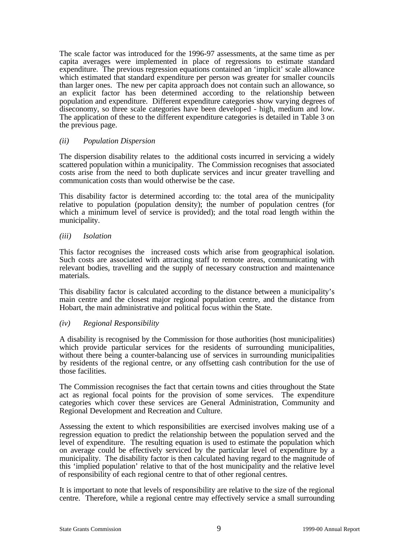The scale factor was introduced for the 1996-97 assessments, at the same time as per capita averages were implemented in place of regressions to estimate standard expenditure. The previous regression equations contained an 'implicit' scale allowance which estimated that standard expenditure per person was greater for smaller councils than larger ones. The new per capita approach does not contain such an allowance, so an explicit factor has been determined according to the relationship between population and expenditure. Different expenditure categories show varying degrees of diseconomy, so three scale categories have been developed - high, medium and low. The application of these to the different expenditure categories is detailed in Table 3 on the previous page.

#### *(ii) Population Dispersion*

The dispersion disability relates to the additional costs incurred in servicing a widely scattered population within a municipality. The Commission recognises that associated costs arise from the need to both duplicate services and incur greater travelling and communication costs than would otherwise be the case.

This disability factor is determined according to: the total area of the municipality relative to population (population density); the number of population centres (for which a minimum level of service is provided); and the total road length within the municipality.

#### *(iii) Isolation*

This factor recognises the increased costs which arise from geographical isolation. Such costs are associated with attracting staff to remote areas, communicating with relevant bodies, travelling and the supply of necessary construction and maintenance materials.

This disability factor is calculated according to the distance between a municipality's main centre and the closest major regional population centre, and the distance from Hobart, the main administrative and political focus within the State.

#### *(iv) Regional Responsibility*

A disability is recognised by the Commission for those authorities (host municipalities) which provide particular services for the residents of surrounding municipalities, without there being a counter-balancing use of services in surrounding municipalities by residents of the regional centre, or any offsetting cash contribution for the use of those facilities.

The Commission recognises the fact that certain towns and cities throughout the State act as regional focal points for the provision of some services. The expenditure categories which cover these services are General Administration, Community and Regional Development and Recreation and Culture.

Assessing the extent to which responsibilities are exercised involves making use of a regression equation to predict the relationship between the population served and the level of expenditure. The resulting equation is used to estimate the population which on average could be effectively serviced by the particular level of expenditure by a municipality. The disability factor is then calculated having regard to the magnitude of this 'implied population' relative to that of the host municipality and the relative level of responsibility of each regional centre to that of other regional centres.

It is important to note that levels of responsibility are relative to the size of the regional centre. Therefore, while a regional centre may effectively service a small surrounding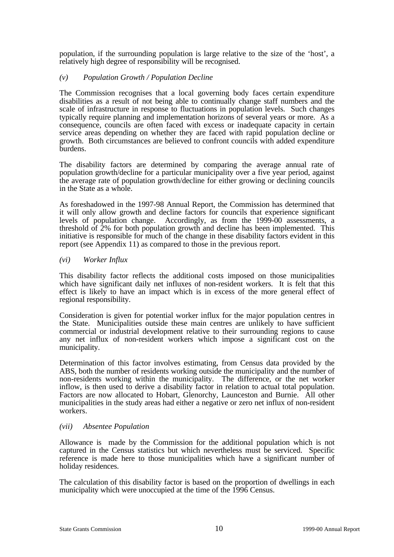population, if the surrounding population is large relative to the size of the 'host', a relatively high degree of responsibility will be recognised.

#### *(v) Population Growth / Population Decline*

The Commission recognises that a local governing body faces certain expenditure disabilities as a result of not being able to continually change staff numbers and the scale of infrastructure in response to fluctuations in population levels. Such changes typically require planning and implementation horizons of several years or more. As a consequence, councils are often faced with excess or inadequate capacity in certain service areas depending on whether they are faced with rapid population decline or growth. Both circumstances are believed to confront councils with added expenditure burdens.

The disability factors are determined by comparing the average annual rate of population growth/decline for a particular municipality over a five year period, against the average rate of population growth/decline for either growing or declining councils in the State as a whole.

As foreshadowed in the 1997-98 Annual Report, the Commission has determined that it will only allow growth and decline factors for councils that experience significant levels of population change. Accordingly, as from the 1999-00 assessments, a threshold of 2% for both population growth and decline has been implemented. This initiative is responsible for much of the change in these disability factors evident in this report (see Appendix 11) as compared to those in the previous report.

#### *(vi) Worker Influx*

This disability factor reflects the additional costs imposed on those municipalities which have significant daily net influxes of non-resident workers. It is felt that this effect is likely to have an impact which is in excess of the more general effect of regional responsibility.

Consideration is given for potential worker influx for the major population centres in the State. Municipalities outside these main centres are unlikely to have sufficient commercial or industrial development relative to their surrounding regions to cause any net influx of non-resident workers which impose a significant cost on the municipality.

Determination of this factor involves estimating, from Census data provided by the ABS, both the number of residents working outside the municipality and the number of non-residents working within the municipality. The difference, or the net worker inflow, is then used to derive a disability factor in relation to actual total population. Factors are now allocated to Hobart, Glenorchy, Launceston and Burnie. All other municipalities in the study areas had either a negative or zero net influx of non-resident workers.

#### *(vii) Absentee Population*

Allowance is made by the Commission for the additional population which is not captured in the Census statistics but which nevertheless must be serviced. Specific reference is made here to those municipalities which have a significant number of holiday residences.

The calculation of this disability factor is based on the proportion of dwellings in each municipality which were unoccupied at the time of the 1996 Census.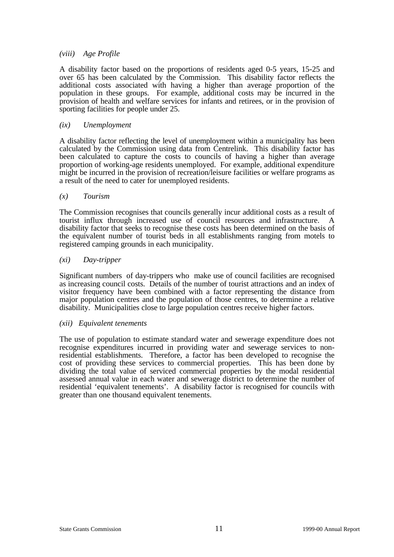#### *(viii) Age Profile*

A disability factor based on the proportions of residents aged 0-5 years, 15-25 and over 65 has been calculated by the Commission. This disability factor reflects the additional costs associated with having a higher than average proportion of the population in these groups. For example, additional costs may be incurred in the provision of health and welfare services for infants and retirees, or in the provision of sporting facilities for people under 25.

#### *(ix) Unemployment*

A disability factor reflecting the level of unemployment within a municipality has been calculated by the Commission using data from Centrelink. This disability factor has been calculated to capture the costs to councils of having a higher than average proportion of working-age residents unemployed. For example, additional expenditure might be incurred in the provision of recreation/leisure facilities or welfare programs as a result of the need to cater for unemployed residents.

#### *(x) Tourism*

The Commission recognises that councils generally incur additional costs as a result of tourist influx through increased use of council resources and infrastructure. A disability factor that seeks to recognise these costs has been determined on the basis of the equivalent number of tourist beds in all establishments ranging from motels to registered camping grounds in each municipality.

#### *(xi) Day-tripper*

Significant numbers of day-trippers who make use of council facilities are recognised as increasing council costs. Details of the number of tourist attractions and an index of visitor frequency have been combined with a factor representing the distance from major population centres and the population of those centres, to determine a relative disability. Municipalities close to large population centres receive higher factors.

#### *(xii) Equivalent tenements*

The use of population to estimate standard water and sewerage expenditure does not recognise expenditures incurred in providing water and sewerage services to nonresidential establishments. Therefore, a factor has been developed to recognise the cost of providing these services to commercial properties. This has been done by dividing the total value of serviced commercial properties by the modal residential assessed annual value in each water and sewerage district to determine the number of residential 'equivalent tenements'. A disability factor is recognised for councils with greater than one thousand equivalent tenements.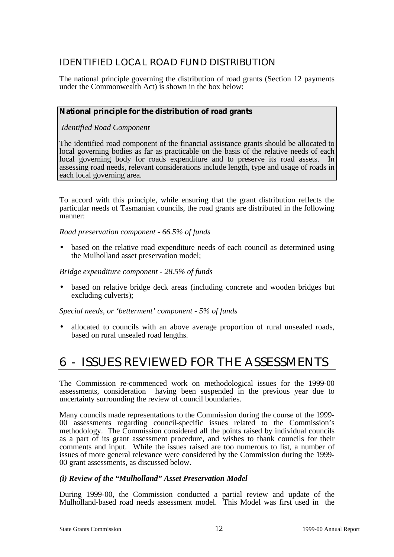### IDENTIFIED LOCAL ROAD FUND DISTRIBUTION

The national principle governing the distribution of road grants (Section 12 payments under the Commonwealth Act) is shown in the box below:

#### **National principle for the distribution of road grants**

*Identified Road Component*

The identified road component of the financial assistance grants should be allocated to local governing bodies as far as practicable on the basis of the relative needs of each local governing body for roads expenditure and to preserve its road assets. In assessing road needs, relevant considerations include length, type and usage of roads in each local governing area.

To accord with this principle, while ensuring that the grant distribution reflects the particular needs of Tasmanian councils, the road grants are distributed in the following manner:

*Road preservation component - 66.5% of funds*

• based on the relative road expenditure needs of each council as determined using the Mulholland asset preservation model;

*Bridge expenditure component - 28.5% of funds*

• based on relative bridge deck areas (including concrete and wooden bridges but excluding culverts);

*Special needs, or 'betterment' component - 5% of funds*

• allocated to councils with an above average proportion of rural unsealed roads, based on rural unsealed road lengths.

### 6 - ISSUES REVIEWED FOR THE ASSESSMENTS

The Commission re-commenced work on methodological issues for the 1999-00 assessments, consideration having been suspended in the previous year due to uncertainty surrounding the review of council boundaries.

Many councils made representations to the Commission during the course of the 1999- 00 assessments regarding council-specific issues related to the Commission's methodology. The Commission considered all the points raised by individual councils as a part of its grant assessment procedure, and wishes to thank councils for their comments and input. While the issues raised are too numerous to list, a number of issues of more general relevance were considered by the Commission during the 1999- 00 grant assessments, as discussed below.

#### *(i) Review of the "Mulholland" Asset Preservation Model*

During 1999-00, the Commission conducted a partial review and update of the Mulholland-based road needs assessment model. This Model was first used in the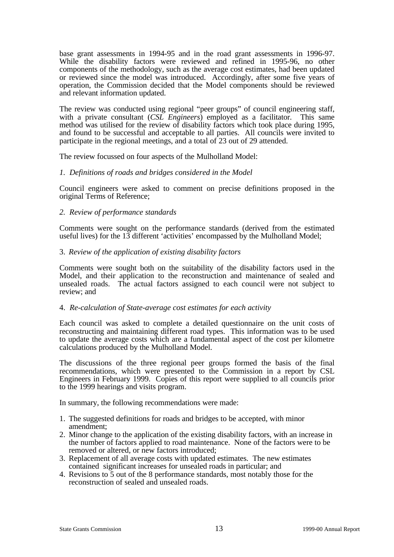base grant assessments in 1994-95 and in the road grant assessments in 1996-97. While the disability factors were reviewed and refined in 1995-96, no other components of the methodology, such as the average cost estimates, had been updated or reviewed since the model was introduced. Accordingly, after some five years of operation, the Commission decided that the Model components should be reviewed and relevant information updated.

The review was conducted using regional "peer groups" of council engineering staff, with a private consultant (*CSL Engineers*) employed as a facilitator. This same method was utilised for the review of disability factors which took place during 1995, and found to be successful and acceptable to all parties. All councils were invited to participate in the regional meetings, and a total of 23 out of 29 attended.

The review focussed on four aspects of the Mulholland Model:

#### *1. Definitions of roads and bridges considered in the Model*

Council engineers were asked to comment on precise definitions proposed in the original Terms of Reference;

#### *2. Review of performance standards*

Comments were sought on the performance standards (derived from the estimated useful lives) for the 13 different 'activities' encompassed by the Mulholland Model;

#### 3. *Review of the application of existing disability factors*

Comments were sought both on the suitability of the disability factors used in the Model, and their application to the reconstruction and maintenance of sealed and unsealed roads. The actual factors assigned to each council were not subject to review; and

#### 4. *Re-calculation of State-average cost estimates for each activity*

Each council was asked to complete a detailed questionnaire on the unit costs of reconstructing and maintaining different road types. This information was to be used to update the average costs which are a fundamental aspect of the cost per kilometre calculations produced by the Mulholland Model.

The discussions of the three regional peer groups formed the basis of the final recommendations, which were presented to the Commission in a report by CSL Engineers in February 1999. Copies of this report were supplied to all councils prior to the 1999 hearings and visits program.

In summary, the following recommendations were made:

- 1. The suggested definitions for roads and bridges to be accepted, with minor amendment;
- 2. Minor change to the application of the existing disability factors, with an increase in the number of factors applied to road maintenance. None of the factors were to be removed or altered, or new factors introduced;
- 3. Replacement of all average costs with updated estimates. The new estimates contained significant increases for unsealed roads in particular; and
- 4. Revisions to 5 out of the 8 performance standards, most notably those for the reconstruction of sealed and unsealed roads.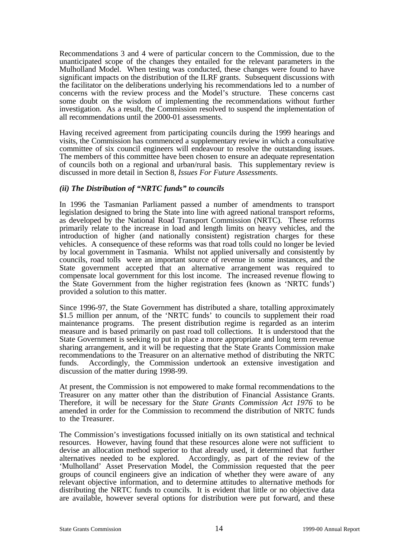Recommendations 3 and 4 were of particular concern to the Commission, due to the unanticipated scope of the changes they entailed for the relevant parameters in the Mulholland Model. When testing was conducted, these changes were found to have significant impacts on the distribution of the ILRF grants. Subsequent discussions with the facilitator on the deliberations underlying his recommendations led to a number of concerns with the review process and the Model's structure. These concerns cast some doubt on the wisdom of implementing the recommendations without further investigation. As a result, the Commission resolved to suspend the implementation of all recommendations until the 2000-01 assessments.

Having received agreement from participating councils during the 1999 hearings and visits, the Commission has commenced a supplementary review in which a consultative committee of six council engineers will endeavour to resolve the outstanding issues. The members of this committee have been chosen to ensure an adequate representation of councils both on a regional and urban/rural basis. This supplementary review is discussed in more detail in Section 8, *Issues For Future Assessments*.

#### *(ii) The Distribution of "NRTC funds" to councils*

In 1996 the Tasmanian Parliament passed a number of amendments to transport legislation designed to bring the State into line with agreed national transport reforms, as developed by the National Road Transport Commission (NRTC). These reforms primarily relate to the increase in load and length limits on heavy vehicles, and the introduction of higher (and nationally consistent) registration charges for these vehicles. A consequence of these reforms was that road tolls could no longer be levied by local government in Tasmania. Whilst not applied universally and consistently by councils, road tolls were an important source of revenue in some instances, and the State government accepted that an alternative arrangement was required to compensate local government for this lost income. The increased revenue flowing to the State Government from the higher registration fees (known as 'NRTC funds') provided a solution to this matter.

Since 1996-97, the State Government has distributed a share, totalling approximately \$1.5 million per annum, of the 'NRTC funds' to councils to supplement their road maintenance programs. The present distribution regime is regarded as an interim measure and is based primarily on past road toll collections. It is understood that the State Government is seeking to put in place a more appropriate and long term revenue sharing arrangement, and it will be requesting that the State Grants Commission make recommendations to the Treasurer on an alternative method of distributing the NRTC funds. Accordingly, the Commission undertook an extensive investigation and discussion of the matter during 1998-99.

At present, the Commission is not empowered to make formal recommendations to the Treasurer on any matter other than the distribution of Financial Assistance Grants. Therefore, it will be necessary for the *State Grants Commission Act 1976* to be amended in order for the Commission to recommend the distribution of NRTC funds to the Treasurer.

The Commission's investigations focussed initially on its own statistical and technical resources. However, having found that these resources alone were not sufficient to devise an allocation method superior to that already used, it determined that further alternatives needed to be explored. Accordingly, as part of the review of the 'Mulholland' Asset Preservation Model, the Commission requested that the peer groups of council engineers give an indication of whether they were aware of any relevant objective information, and to determine attitudes to alternative methods for distributing the NRTC funds to councils. It is evident that little or no objective data are available, however several options for distribution were put forward, and these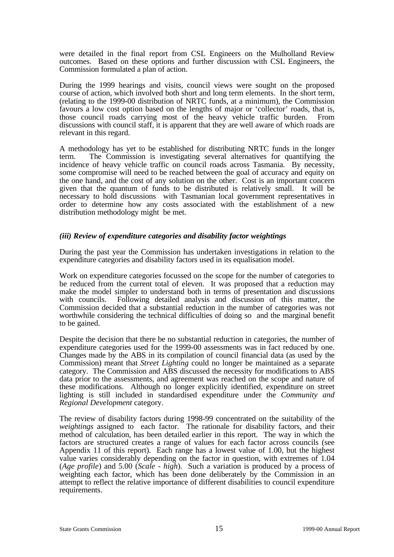were detailed in the final report from CSL Engineers on the Mulholland Review outcomes. Based on these options and further discussion with CSL Engineers, the Commission formulated a plan of action.

During the 1999 hearings and visits, council views were sought on the proposed course of action, which involved both short and long term elements. In the short term, (relating to the 1999-00 distribution of NRTC funds, at a minimum), the Commission favours a low cost option based on the lengths of major or 'collector' roads, that is, those council roads carrying most of the heavy vehicle traffic burden. From discussions with council staff, it is apparent that they are well aware of which roads are relevant in this regard.

A methodology has yet to be established for distributing NRTC funds in the longer term. The Commission is investigating several alternatives for quantifying the incidence of heavy vehicle traffic on council roads across Tasmania. By necessity, some compromise will need to be reached between the goal of accuracy and equity on the one hand, and the cost of any solution on the other. Cost is an important concern given that the quantum of funds to be distributed is relatively small. It will be necessary to hold discussions with Tasmanian local government representatives in order to determine how any costs associated with the establishment of a new distribution methodology might be met.

#### *(iii) Review of expenditure categories and disability factor weightings*

During the past year the Commission has undertaken investigations in relation to the expenditure categories and disability factors used in its equalisation model.

Work on expenditure categories focussed on the scope for the number of categories to be reduced from the current total of eleven. It was proposed that a reduction may make the model simpler to understand both in terms of presentation and discussions with councils. Following detailed analysis and discussion of this matter, the Following detailed analysis and discussion of this matter, the Commission decided that a substantial reduction in the number of categories was not worthwhile considering the technical difficulties of doing so and the marginal benefit to be gained.

Despite the decision that there be no substantial reduction in categories, the number of expenditure categories used for the 1999-00 assessments was in fact reduced by one. Changes made by the ABS in its compilation of council financial data (as used by the Commission) meant that *Street Lighting* could no longer be maintained as a separate category. The Commission and ABS discussed the necessity for modifications to ABS data prior to the assessments, and agreement was reached on the scope and nature of these modifications. Although no longer explicitly identified, expenditure on street lighting is still included in standardised expenditure under the *Community and Regional Development* category.

The review of disability factors during 1998-99 concentrated on the suitability of the *weightings* assigned to each factor. The rationale for disability factors, and their method of calculation, has been detailed earlier in this report. The way in which the factors are structured creates a range of values for each factor across councils (see Appendix 11 of this report). Each range has a lowest value of 1.00, but the highest value varies considerably depending on the factor in question, with extremes of 1.04 (*Age profile*) and 5.00 (*Scale - high*). Such a variation is produced by a process of weighting each factor, which has been done deliberately by the Commission in an attempt to reflect the relative importance of different disabilities to council expenditure requirements.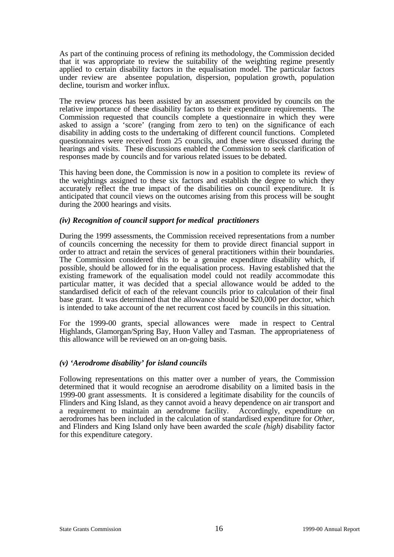As part of the continuing process of refining its methodology, the Commission decided that it was appropriate to review the suitability of the weighting regime presently applied to certain disability factors in the equalisation model. The particular factors under review are absentee population, dispersion, population growth, population decline, tourism and worker influx.

The review process has been assisted by an assessment provided by councils on the relative importance of these disability factors to their expenditure requirements. The Commission requested that councils complete a questionnaire in which they were asked to assign a 'score' (ranging from zero to ten) on the significance of each disability in adding costs to the undertaking of different council functions. Completed questionnaires were received from 25 councils, and these were discussed during the hearings and visits. These discussions enabled the Commission to seek clarification of responses made by councils and for various related issues to be debated.

This having been done, the Commission is now in a position to complete its review of the weightings assigned to these six factors and establish the degree to which they accurately reflect the true impact of the disabilities on council expenditure. It is anticipated that council views on the outcomes arising from this process will be sought during the 2000 hearings and visits.

#### *(iv) Recognition of council support for medical practitioners*

During the 1999 assessments, the Commission received representations from a number of councils concerning the necessity for them to provide direct financial support in order to attract and retain the services of general practitioners within their boundaries. The Commission considered this to be a genuine expenditure disability which, if possible, should be allowed for in the equalisation process. Having established that the existing framework of the equalisation model could not readily accommodate this particular matter, it was decided that a special allowance would be added to the standardised deficit of each of the relevant councils prior to calculation of their final base grant. It was determined that the allowance should be \$20,000 per doctor, which is intended to take account of the net recurrent cost faced by councils in this situation.

For the 1999-00 grants, special allowances were made in respect to Central Highlands, Glamorgan/Spring Bay, Huon Valley and Tasman. The appropriateness of this allowance will be reviewed on an on-going basis.

#### *(v) 'Aerodrome disability' for island councils*

Following representations on this matter over a number of years, the Commission determined that it would recognise an aerodrome disability on a limited basis in the 1999-00 grant assessments. It is considered a legitimate disability for the councils of Flinders and King Island, as they cannot avoid a heavy dependence on air transport and a requirement to maintain an aerodrome facility. Accordingly, expenditure on aerodromes has been included in the calculation of standardised expenditure for *Other*, and Flinders and King Island only have been awarded the *scale (high)* disability factor for this expenditure category.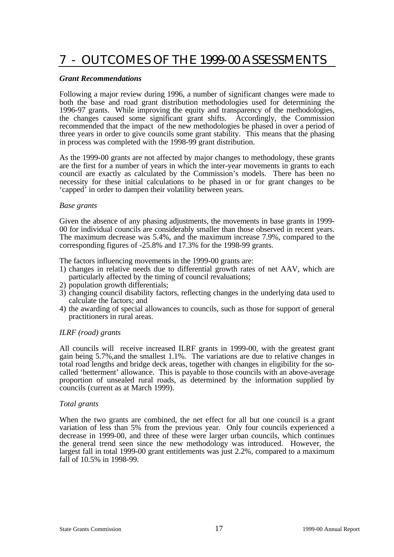### 7 - OUTCOMES OF THE 1999-00 ASSESSMENTS

#### *Grant Recommendations*

Following a major review during 1996, a number of significant changes were made to both the base and road grant distribution methodologies used for determining the 1996-97 grants. While improving the equity and transparency of the methodologies, the changes caused some significant grant shifts. Accordingly, the Commission recommended that the impact of the new methodologies be phased in over a period of three years in order to give councils some grant stability. This means that the phasing in process was completed with the 1998-99 grant distribution.

As the 1999-00 grants are not affected by major changes to methodology, these grants are the first for a number of years in which the inter-year movements in grants to each council are exactly as calculated by the Commission's models. There has been no necessity for these initial calculations to be phased in or for grant changes to be 'capped' in order to dampen their volatility between years.

#### *Base grants*

Given the absence of any phasing adjustments, the movements in base grants in 1999- 00 for individual councils are considerably smaller than those observed in recent years. The maximum decrease was 5.4%, and the maximum increase 7.9%, compared to the corresponding figures of -25.8% and 17.3% for the 1998-99 grants.

The factors influencing movements in the 1999-00 grants are:

- 1) changes in relative needs due to differential growth rates of net AAV, which are particularly affected by the timing of council revaluations;
- 2) population growth differentials;
- 3) changing council disability factors, reflecting changes in the underlying data used to calculate the factors; and
- 4) the awarding of special allowances to councils, such as those for support of general practitioners in rural areas.

#### *ILRF (road) grants*

All councils will receive increased ILRF grants in 1999-00, with the greatest grant gain being 5.7%,and the smallest 1.1%. The variations are due to relative changes in total road lengths and bridge deck areas, together with changes in eligibility for the socalled 'betterment' allowance. This is payable to those councils with an above-average proportion of unsealed rural roads, as determined by the information supplied by councils (current as at March 1999).

#### *Total grants*

When the two grants are combined, the net effect for all but one council is a grant variation of less than 5% from the previous year. Only four councils experienced a decrease in 1999-00, and three of these were larger urban councils, which continues the general trend seen since the new methodology was introduced. However, the largest fall in total 1999-00 grant entitlements was just 2.2%, compared to a maximum fall of 10.5% in 1998-99.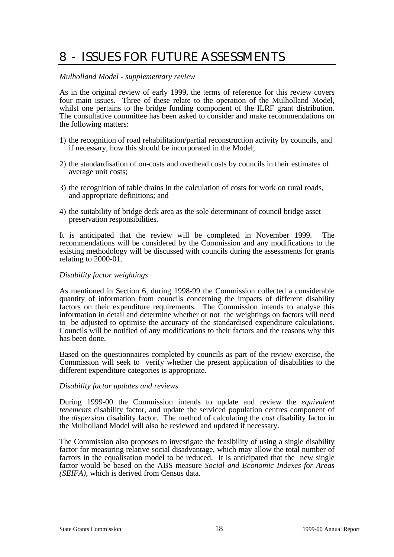### 8 - ISSUES FOR FUTURE ASSESSMENTS

#### *Mulholland Model - supplementary review*

As in the original review of early 1999, the terms of reference for this review covers four main issues. Three of these relate to the operation of the Mulholland Model, whilst one pertains to the bridge funding component of the ILRF grant distribution. The consultative committee has been asked to consider and make recommendations on the following matters:

- 1) the recognition of road rehabilitation/partial reconstruction activity by councils, and if necessary, how this should be incorporated in the Model;
- 2) the standardisation of on-costs and overhead costs by councils in their estimates of average unit costs;
- 3) the recognition of table drains in the calculation of costs for work on rural roads, and appropriate definitions; and
- 4) the suitability of bridge deck area as the sole determinant of council bridge asset preservation responsibilities.

It is anticipated that the review will be completed in November 1999. The recommendations will be considered by the Commission and any modifications to the existing methodology will be discussed with councils during the assessments for grants relating to 2000-01.

#### *Disability factor weightings*

As mentioned in Section 6, during 1998-99 the Commission collected a considerable quantity of information from councils concerning the impacts of different disability factors on their expenditure requirements. The Commission intends to analyse this information in detail and determine whether or not the weightings on factors will need to be adjusted to optimise the accuracy of the standardised expenditure calculations. Councils will be notified of any modifications to their factors and the reasons why this has been done.

Based on the questionnaires completed by councils as part of the review exercise, the Commission will seek to verify whether the present application of disabilities to the different expenditure categories is appropriate.

#### *Disability factor updates and reviews*

During 1999-00 the Commission intends to update and review the *equivalent tenements* disability factor, and update the serviced population centres component of the *dispersion* disability factor. The method of calculating the *cost* disability factor in the Mulholland Model will also be reviewed and updated if necessary.

The Commission also proposes to investigate the feasibility of using a single disability factor for measuring relative social disadvantage, which may allow the total number of factors in the equalisation model to be reduced. It is anticipated that the new single factor would be based on the ABS measure *Social and Economic Indexes for Areas (SEIFA)*, which is derived from Census data.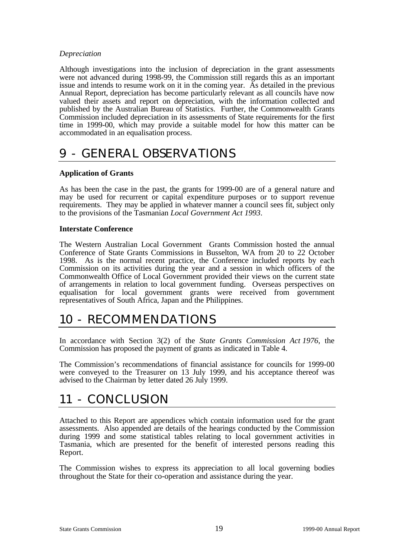#### *Depreciation*

Although investigations into the inclusion of depreciation in the grant assessments were not advanced during 1998-99, the Commission still regards this as an important issue and intends to resume work on it in the coming year. As detailed in the previous Annual Report, depreciation has become particularly relevant as all councils have now valued their assets and report on depreciation, with the information collected and published by the Australian Bureau of Statistics. Further, the Commonwealth Grants Commission included depreciation in its assessments of State requirements for the first time in 1999-00, which may provide a suitable model for how this matter can be accommodated in an equalisation process.

### 9 - GENERAL OBSERVATIONS

#### **Application of Grants**

As has been the case in the past, the grants for 1999-00 are of a general nature and may be used for recurrent or capital expenditure purposes or to support revenue requirements. They may be applied in whatever manner a council sees fit, subject only to the provisions of the Tasmanian *Local Government Act 1993*.

#### **Interstate Conference**

The Western Australian Local Government Grants Commission hosted the annual Conference of State Grants Commissions in Busselton, WA from 20 to 22 October 1998. As is the normal recent practice, the Conference included reports by each Commission on its activities during the year and a session in which officers of the Commonwealth Office of Local Government provided their views on the current state of arrangements in relation to local government funding. Overseas perspectives on equalisation for local government grants were received from government representatives of South Africa, Japan and the Philippines.

### 10 - RECOMMENDATIONS

In accordance with Section 3(2) of the *State Grants Commission Act 1976*, the Commission has proposed the payment of grants as indicated in Table 4.

The Commission's recommendations of financial assistance for councils for 1999-00 were conveyed to the Treasurer on 13 July 1999, and his acceptance thereof was advised to the Chairman by letter dated 26 July 1999.

### 11 - CONCLUSION

Attached to this Report are appendices which contain information used for the grant assessments. Also appended are details of the hearings conducted by the Commission during 1999 and some statistical tables relating to local government activities in Tasmania, which are presented for the benefit of interested persons reading this Report.

The Commission wishes to express its appreciation to all local governing bodies throughout the State for their co-operation and assistance during the year.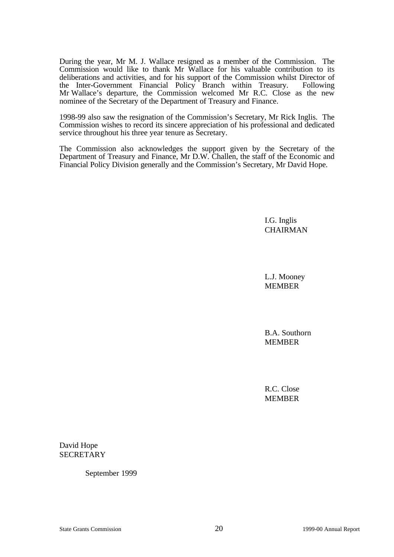During the year, Mr M. J. Wallace resigned as a member of the Commission. The Commission would like to thank Mr Wallace for his valuable contribution to its deliberations and activities, and for his support of the Commission whilst Director of the Inter-Government Financial Policy Branch within Treasury. Following the Inter-Government Financial Policy Branch within Treasury. Following Mr Wallace's departure, the Commission welcomed Mr R.C. Close as the new nominee of the Secretary of the Department of Treasury and Finance.

1998-99 also saw the resignation of the Commission's Secretary, Mr Rick Inglis. The Commission wishes to record its sincere appreciation of his professional and dedicated service throughout his three year tenure as Secretary.

The Commission also acknowledges the support given by the Secretary of the Department of Treasury and Finance, Mr D.W. Challen, the staff of the Economic and Financial Policy Division generally and the Commission's Secretary, Mr David Hope.

> I.G. Inglis **CHAIRMAN**

L.J. Mooney MEMBER

B.A. Southorn **MEMBER** 

R.C. Close MEMBER

David Hope **SECRETARY** 

September 1999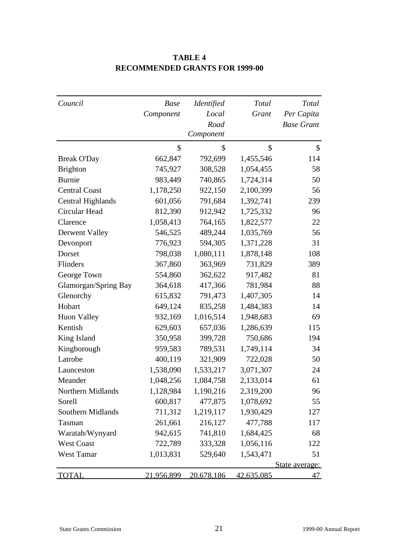| Council                  | <b>Base</b>        | <i>Identified</i> | Total      | Total             |
|--------------------------|--------------------|-------------------|------------|-------------------|
|                          | Component          | Local             | Grant      | Per Capita        |
|                          |                    | Road              |            | <b>Base Grant</b> |
|                          |                    | Component         |            |                   |
|                          | \$                 | \$                | \$         | $\mathcal{S}$     |
| <b>Break O'Day</b>       | 662,847            | 792,699           | 1,455,546  | 114               |
| <b>Brighton</b>          | 745,927            | 308,528           | 1,054,455  | 58                |
| <b>Burnie</b>            | 983,449            | 740,865           | 1,724,314  | 50                |
| <b>Central Coast</b>     | 1,178,250          | 922,150           | 2,100,399  | 56                |
| Central Highlands        | 601,056            | 791,684           | 1,392,741  | 239               |
| Circular Head            | 812,390            | 912,942           | 1,725,332  | 96                |
| Clarence                 | 1,058,413          | 764,165           | 1,822,577  | 22                |
| Derwent Valley           | 546,525            | 489,244           | 1,035,769  | 56                |
| Devonport                | 776,923            | 594,305           | 1,371,228  | 31                |
| Dorset                   | 798,038            | 1,080,111         | 1,878,148  | 108               |
| Flinders                 | 367,860            | 363,969           | 731,829    | 389               |
| George Town              | 554,860            | 362,622           | 917,482    | 81                |
| Glamorgan/Spring Bay     | 364,618            | 417,366           | 781,984    | 88                |
| Glenorchy                | 615,832            | 791,473           | 1,407,305  | 14                |
| Hobart                   | 649,124            | 835,258           | 1,484,383  | 14                |
| <b>Huon Valley</b>       | 932,169            | 1,016,514         | 1,948,683  | 69                |
| Kentish                  | 629,603            | 657,036           | 1,286,639  | 115               |
| King Island              | 350,958            | 399,728           | 750,686    | 194               |
| Kingborough              | 959,583            | 789,531           | 1,749,114  | 34                |
| Latrobe                  | 400,119            | 321,909           | 722,028    | 50                |
| Launceston               | 1,538,090          | 1,533,217         | 3,071,307  | 24                |
| Meander                  | 1,048,256          | 1,084,758         | 2,133,014  | 61                |
| Northern Midlands        | 1,128,984          | 1,190,216         | 2,319,200  | 96                |
| Sorell                   | 600,817            | 477,875           | 1,078,692  | 55                |
| <b>Southern Midlands</b> | 711,312            | 1,219,117         | 1,930,429  | 127               |
| Tasman                   | 261,661            | 216,127           | 477,788    | 117               |
| Waratah/Wynyard          | 942,615            | 741,810           | 1,684,425  | 68                |
| <b>West Coast</b>        | 722,789            | 333,328           | 1,056,116  | 122               |
| <b>West Tamar</b>        | 1,013,831          | 529,640           | 1,543,471  | 51                |
|                          |                    |                   |            | State average:    |
| FOTAL                    | <u>21.956.899 </u> | 20.678.186        | 42.635.085 |                   |

#### **TABLE 4 RECOMMENDED GRANTS FOR 1999-00**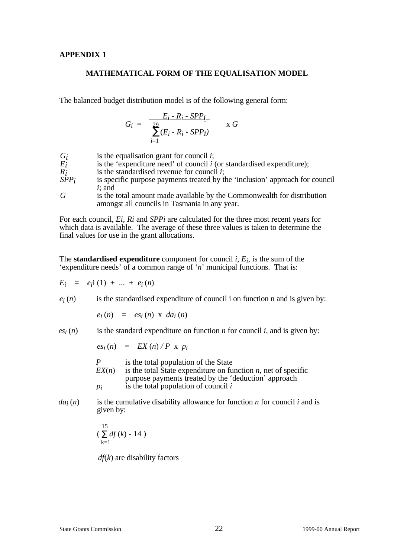#### **MATHEMATICAL FORM OF THE EQUALISATION MODEL**

The balanced budget distribution model is of the following general form:

$$
G_i = \frac{E_i - R_i - SPP_i}{\sum_{i=1}^{29} (E_i - R_i - SPP_i)} \times G
$$

| Gi    | is the equalisation grant for council $i$ ;                                               |
|-------|-------------------------------------------------------------------------------------------|
| $E_i$ | is the 'expenditure need' of council $i$ (or standardised expenditure);                   |
| $R_i$ | is the standardised revenue for council $i$ ;                                             |
| SPPi  | is specific purpose payments treated by the 'inclusion' approach for council<br>$i$ ; and |
| G     | is the total amount made available by the Commonwealth for distribution                   |
|       |                                                                                           |

For each council, *Ei, Ri* and *SPPi* are calculated for the three most recent years for which data is available. The average of these three values is taken to determine the final values for use in the grant allocations.

The **standardised expenditure** component for council *i*, *Ei* , is the sum of the 'expenditure needs' of a common range of '*n*' municipal functions. That is:

amongst all councils in Tasmania in any year.

 $E_i = e_i$ **i** (1) + ... +  $e_i$  (*n*)

 $e_i(n)$  is the standardised expenditure of council i on function n and is given by:

$$
e_i(n) = es_i(n) \times da_i(n)
$$

 $e^{i(n)}$  is the standard expenditure on function *n* for council *i*, and is given by:

$$
es_i(n) = EX(n)/P \times p_i
$$

*P* is the total population of the State  $EX(n)$  is the total State expenditure on fu is the total State expenditure on function  $n$ , net of specific purpose payments treated by the 'deduction' approach *pi* is the total population of council *i*

 $da_i(n)$  is the cumulative disability allowance for function *n* for council *i* and is given by:

$$
(\sum_{k=1}^{15} df(k) - 14)
$$

*df*(*k*) are disability factors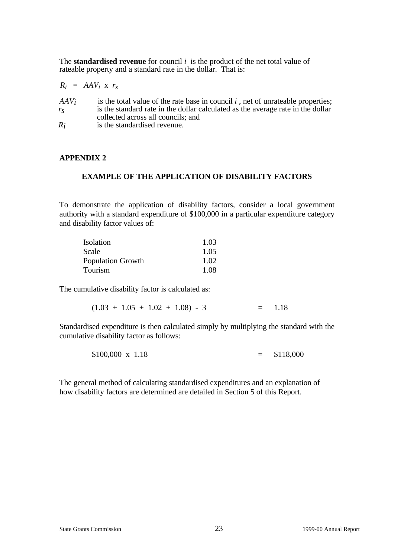The **standardised revenue** for council *i* is the product of the net total value of rateable property and a standard rate in the dollar. That is:

$$
R_i = AAV_i \times r_s
$$
  
\n
$$
AAV_i
$$
 is the total value of the rate base in council *i*, net of unrateable properties;  
\n
$$
r_s
$$
 is the standard rate in the dollar calculated as the average rate in the dollar collected across all councils; and

*Ri* is the standardised revenue.

#### **APPENDIX 2**

#### **EXAMPLE OF THE APPLICATION OF DISABILITY FACTORS**

To demonstrate the application of disability factors, consider a local government authority with a standard expenditure of \$100,000 in a particular expenditure category and disability factor values of:

| Isolation                | 1.03 |
|--------------------------|------|
| Scale                    | 1.05 |
| <b>Population Growth</b> | 1.02 |
| Tourism                  | 1.08 |

The cumulative disability factor is calculated as:

 $(1.03 + 1.05 + 1.02 + 1.08) - 3 = 1.18$ 

Standardised expenditure is then calculated simply by multiplying the standard with the cumulative disability factor as follows:

$$
$100,000 \times 1.18 = $118,000
$$

The general method of calculating standardised expenditures and an explanation of how disability factors are determined are detailed in Section 5 of this Report.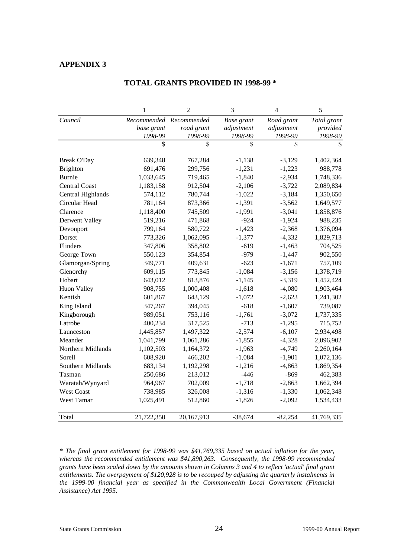|                          | 1          | $\overline{c}$          | 3          | 4          | 5           |
|--------------------------|------------|-------------------------|------------|------------|-------------|
| Council                  |            | Recommended Recommended | Base grant | Road grant | Total grant |
|                          | base grant | road grant              | adjustment | adjustment | provided    |
|                          | 1998-99    | 1998-99                 | 1998-99    | 1998-99    | 1998-99     |
|                          | \$         | \$                      | \$         | \$         | \$          |
| <b>Break O'Day</b>       | 639,348    | 767,284                 | $-1,138$   | $-3,129$   | 1,402,364   |
| Brighton                 | 691,476    | 299,756                 | $-1,231$   | $-1,223$   | 988,778     |
| <b>Burnie</b>            | 1,033,645  | 719,465                 | $-1,840$   | $-2,934$   | 1,748,336   |
| <b>Central Coast</b>     | 1,183,158  | 912,504                 | $-2,106$   | $-3,722$   | 2,089,834   |
| <b>Central Highlands</b> | 574,112    | 780,744                 | $-1,022$   | $-3,184$   | 1,350,650   |
| Circular Head            | 781,164    | 873,366                 | $-1,391$   | $-3,562$   | 1,649,577   |
| Clarence                 | 1,118,400  | 745,509                 | $-1,991$   | $-3,041$   | 1,858,876   |
| Derwent Valley           | 519,216    | 471,868                 | $-924$     | $-1,924$   | 988,235     |
| Devonport                | 799,164    | 580,722                 | $-1,423$   | $-2,368$   | 1,376,094   |
| Dorset                   | 773,326    | 1,062,095               | $-1,377$   | $-4,332$   | 1,829,713   |
| Flinders                 | 347,806    | 358,802                 | $-619$     | $-1,463$   | 704,525     |
| George Town              | 550,123    | 354,854                 | $-979$     | $-1,447$   | 902,550     |
| Glamorgan/Spring         | 349,771    | 409,631                 | $-623$     | $-1,671$   | 757,109     |
| Glenorchy                | 609,115    | 773,845                 | $-1,084$   | $-3,156$   | 1,378,719   |
| Hobart                   | 643,012    | 813,876                 | $-1,145$   | $-3,319$   | 1,452,424   |
| <b>Huon Valley</b>       | 908,755    | 1,000,408               | $-1,618$   | $-4,080$   | 1,903,464   |
| Kentish                  | 601,867    | 643,129                 | $-1,072$   | $-2,623$   | 1,241,302   |
| King Island              | 347,267    | 394,045                 | $-618$     | $-1,607$   | 739,087     |
| Kingborough              | 989,051    | 753,116                 | $-1,761$   | $-3,072$   | 1,737,335   |
| Latrobe                  | 400,234    | 317,525                 | $-713$     | $-1,295$   | 715,752     |
| Launceston               | 1,445,857  | 1,497,322               | $-2,574$   | $-6,107$   | 2,934,498   |
| Meander                  | 1,041,799  | 1,061,286               | $-1,855$   | $-4,328$   | 2,096,902   |
| Northern Midlands        | 1,102,503  | 1,164,372               | $-1,963$   | $-4,749$   | 2,260,164   |
| Sorell                   | 608,920    | 466,202                 | $-1,084$   | $-1,901$   | 1,072,136   |
| Southern Midlands        | 683,134    | 1,192,298               | $-1,216$   | $-4,863$   | 1,869,354   |
| Tasman                   | 250,686    | 213,012                 | $-446$     | $-869$     | 462,383     |
| Waratah/Wynyard          | 964,967    | 702,009                 | $-1,718$   | $-2,863$   | 1,662,394   |
| <b>West Coast</b>        | 738,985    | 326,008                 | $-1,316$   | $-1,330$   | 1,062,348   |
| West Tamar               | 1,025,491  | 512,860                 | $-1,826$   | $-2,092$   | 1,534,433   |
| Total                    | 21,722,350 | 20,167,913              | $-38,674$  | $-82,254$  | 41,769,335  |

#### **TOTAL GRANTS PROVIDED IN 1998-99 \***

*\* The final grant entitlement for 1998-99 was \$41,769,335 based on actual inflation for the year, whereas the recommended entitlement was \$41,890,263. Consequently, the 1998-99 recommended grants have been scaled down by the amounts shown in Columns 3 and 4 to reflect 'actual' final grant entitlements. The overpayment of \$120,928 is to be recouped by adjusting the quarterly instalments in the 1999-00 financial year as specified in the Commonwealth Local Government (Financial Assistance) Act 1995.*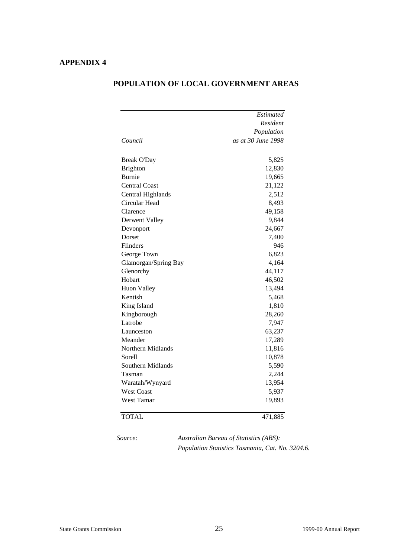|                      | Estimated          |
|----------------------|--------------------|
|                      | Resident           |
|                      | Population         |
| Council              | as at 30 June 1998 |
|                      |                    |
| <b>Break O'Day</b>   | 5,825              |
| <b>Brighton</b>      | 12,830             |
| Burnie               | 19,665             |
| <b>Central Coast</b> | 21,122             |
| Central Highlands    | 2,512              |
| Circular Head        | 8,493              |
| Clarence             | 49,158             |
| Derwent Valley       | 9,844              |
| Devonport            | 24,667             |
| Dorset               | 7,400              |
| Flinders             | 946                |
| George Town          | 6,823              |
| Glamorgan/Spring Bay | 4,164              |
| Glenorchy            | 44,117             |
| Hobart               | 46,502             |
| <b>Huon Valley</b>   | 13,494             |
| Kentish              | 5,468              |
| King Island          | 1,810              |
| Kingborough          | 28,260             |
| Latrobe              | 7,947              |
| Launceston           | 63,237             |
| Meander              | 17,289             |
| Northern Midlands    | 11,816             |
| Sorell               | 10,878             |
| Southern Midlands    | 5,590              |
| Tasman               | 2,244              |
| Waratah/Wynyard      | 13,954             |
| <b>West Coast</b>    | 5,937              |
| West Tamar           | 19,893             |
|                      |                    |
| <b>TOTAL</b>         | 471,885            |

#### **POPULATION OF LOCAL GOVERNMENT AREAS**

*Source: Australian Bureau of Statistics (ABS): Population Statistics Tasmania, Cat. No. 3204.6.*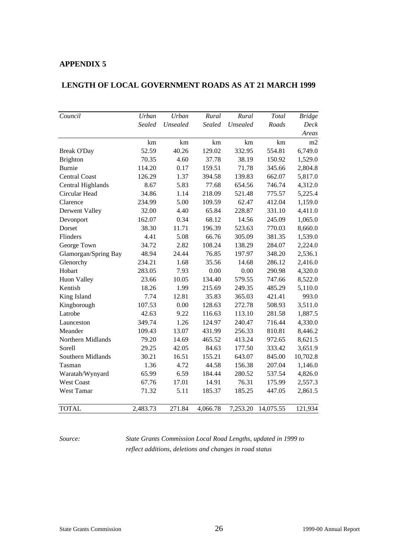#### **LENGTH OF LOCAL GOVERNMENT ROADS AS AT 21 MARCH 1999**

| Council              | Urban         | Urban    | Rural         | Rural    | Total     | <b>Bridge</b> |
|----------------------|---------------|----------|---------------|----------|-----------|---------------|
|                      | <b>Sealed</b> | Unsealed | <b>Sealed</b> | Unsealed | Roads     | Deck          |
|                      |               |          |               |          |           | Areas         |
|                      | km            | km       | km            | km       | km        | m2            |
| <b>Break O'Day</b>   | 52.59         | 40.26    | 129.02        | 332.95   | 554.81    | 6,749.0       |
| Brighton             | 70.35         | 4.60     | 37.78         | 38.19    | 150.92    | 1,529.0       |
| <b>Burnie</b>        | 114.20        | 0.17     | 159.51        | 71.78    | 345.66    | 2,804.8       |
| <b>Central Coast</b> | 126.29        | 1.37     | 394.58        | 139.83   | 662.07    | 5,817.0       |
| Central Highlands    | 8.67          | 5.83     | 77.68         | 654.56   | 746.74    | 4,312.0       |
| Circular Head        | 34.86         | 1.14     | 218.09        | 521.48   | 775.57    | 5,225.4       |
| Clarence             | 234.99        | 5.00     | 109.59        | 62.47    | 412.04    | 1,159.0       |
| Derwent Valley       | 32.00         | 4.40     | 65.84         | 228.87   | 331.10    | 4,411.0       |
| Devonport            | 162.07        | 0.34     | 68.12         | 14.56    | 245.09    | 1,065.0       |
| Dorset               | 38.30         | 11.71    | 196.39        | 523.63   | 770.03    | 8,660.0       |
| Flinders             | 4.41          | 5.08     | 66.76         | 305.09   | 381.35    | 1,539.0       |
| George Town          | 34.72         | 2.82     | 108.24        | 138.29   | 284.07    | 2,224.0       |
| Glamorgan/Spring Bay | 48.94         | 24.44    | 76.85         | 197.97   | 348.20    | 2,536.1       |
| Glenorchy            | 234.21        | 1.68     | 35.56         | 14.68    | 286.12    | 2,416.0       |
| Hobart               | 283.05        | 7.93     | 0.00          | 0.00     | 290.98    | 4,320.0       |
| <b>Huon Valley</b>   | 23.66         | 10.05    | 134.40        | 579.55   | 747.66    | 8,522.0       |
| Kentish              | 18.26         | 1.99     | 215.69        | 249.35   | 485.29    | 5,110.0       |
| King Island          | 7.74          | 12.81    | 35.83         | 365.03   | 421.41    | 993.0         |
| Kingborough          | 107.53        | 0.00     | 128.63        | 272.78   | 508.93    | 3,511.0       |
| Latrobe              | 42.63         | 9.22     | 116.63        | 113.10   | 281.58    | 1,887.5       |
| Launceston           | 349.74        | 1.26     | 124.97        | 240.47   | 716.44    | 4,330.0       |
| Meander              | 109.43        | 13.07    | 431.99        | 256.33   | 810.81    | 8,446.2       |
| Northern Midlands    | 79.20         | 14.69    | 465.52        | 413.24   | 972.65    | 8,621.5       |
| Sorell               | 29.25         | 42.05    | 84.63         | 177.50   | 333.42    | 3,651.9       |
| Southern Midlands    | 30.21         | 16.51    | 155.21        | 643.07   | 845.00    | 10,702.8      |
| Tasman               | 1.36          | 4.72     | 44.58         | 156.38   | 207.04    | 1,146.0       |
| Waratah/Wynyard      | 65.99         | 6.59     | 184.44        | 280.52   | 537.54    | 4,826.0       |
| <b>West Coast</b>    | 67.76         | 17.01    | 14.91         | 76.31    | 175.99    | 2,557.3       |
| West Tamar           | 71.32         | 5.11     | 185.37        | 185.25   | 447.05    | 2,861.5       |
| <b>TOTAL</b>         | 2,483.73      | 271.84   | 4,066.78      | 7,253.20 | 14,075.55 | 121,934       |

*Source: State Grants Commission Local Road Lengths, updated in 1999 to reflect additions, deletions and changes in road status*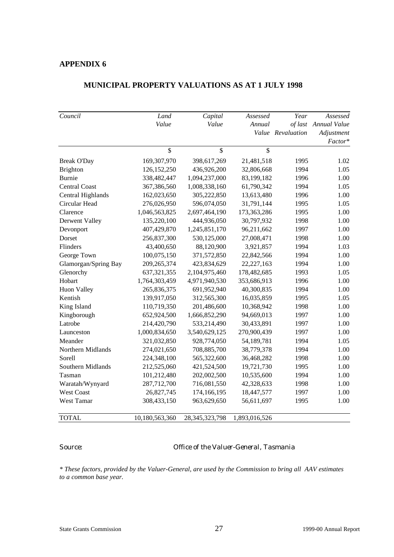| Council              | Land           | Capital           | Assessed      | Year              | Assessed     |
|----------------------|----------------|-------------------|---------------|-------------------|--------------|
|                      | Value          | Value             | Annual        | of last           | Annual Value |
|                      |                |                   |               | Value Revaluation | Adjustment   |
|                      |                |                   |               |                   | Factor*      |
|                      | \$             | \$                | \$            |                   |              |
| <b>Break O'Day</b>   | 169,307,970    | 398,617,269       | 21,481,518    | 1995              | 1.02         |
| <b>Brighton</b>      | 126, 152, 250  | 436,926,200       | 32,806,668    | 1994              | 1.05         |
| Burnie               | 338,482,447    | 1,094,237,000     | 83,199,182    | 1996              | 1.00         |
| <b>Central Coast</b> | 367,386,560    | 1,008,338,160     | 61,790,342    | 1994              | 1.05         |
| Central Highlands    | 162,023,650    | 305,222,850       | 13,613,480    | 1996              | 1.00         |
| Circular Head        | 276,026,950    | 596,074,050       | 31,791,144    | 1995              | 1.05         |
| Clarence             | 1,046,563,825  | 2,697,464,190     | 173,363,286   | 1995              | 1.00         |
| Derwent Valley       | 135,220,100    | 444,936,050       | 30,797,932    | 1998              | 1.00         |
| Devonport            | 407,429,870    | 1,245,851,170     | 96,211,662    | 1997              | 1.00         |
| Dorset               | 256,837,300    | 530,125,000       | 27,008,471    | 1998              | 1.00         |
| Flinders             | 43,400,650     | 88,120,900        | 3,921,857     | 1994              | 1.03         |
| George Town          | 100,075,150    | 371,572,850       | 22,842,566    | 1994              | 1.00         |
| Glamorgan/Spring Bay | 209, 265, 374  | 423,834,629       | 22, 227, 163  | 1994              | 1.00         |
| Glenorchy            | 637, 321, 355  | 2,104,975,460     | 178,482,685   | 1993              | 1.05         |
| Hobart               | 1,764,303,459  | 4,971,940,530     | 353,686,913   | 1996              | 1.00         |
| Huon Valley          | 265,836,375    | 691,952,940       | 40,300,835    | 1994              | 1.00         |
| Kentish              | 139,917,050    | 312,565,300       | 16,035,859    | 1995              | 1.05         |
| King Island          | 110,719,350    | 201,486,600       | 10,368,942    | 1998              | 1.00         |
| Kingborough          | 652,924,500    | 1,666,852,290     | 94,669,013    | 1997              | 1.00         |
| Latrobe              | 214,420,790    | 533,214,490       | 30,433,891    | 1997              | 1.00         |
| Launceston           | 1,000,834,650  | 3,540,629,125     | 270,900,439   | 1997              | 1.00         |
| Meander              | 321,032,850    | 928,774,050       | 54,189,781    | 1994              | 1.05         |
| Northern Midlands    | 274,021,650    | 708,885,700       | 38,779,378    | 1994              | 1.00         |
| Sorell               | 224,348,100    | 565,322,600       | 36,468,282    | 1998              | 1.00         |
| Southern Midlands    | 212,525,060    | 421,524,500       | 19,721,730    | 1995              | 1.00         |
| Tasman               | 101,212,480    | 202,002,500       | 10,535,600    | 1994              | 1.00         |
| Waratah/Wynyard      | 287,712,700    | 716,081,550       | 42,328,633    | 1998              | 1.00         |
| <b>West Coast</b>    | 26,827,745     | 174,166,195       | 18,447,577    | 1997              | 1.00         |
| West Tamar           | 308,433,150    | 963,629,650       | 56,611,697    | 1995              | 1.00         |
| <b>TOTAL</b>         | 10,180,563,360 | 28, 345, 323, 798 | 1,893,016,526 |                   |              |

#### **MUNICIPAL PROPERTY VALUATIONS AS AT 1 JULY 1998**

#### *Source: Office of the Valuer-General, Tasmania*

*\* These factors, provided by the Valuer-General, are used by the Commission to bring all AAV estimates to a common base year.*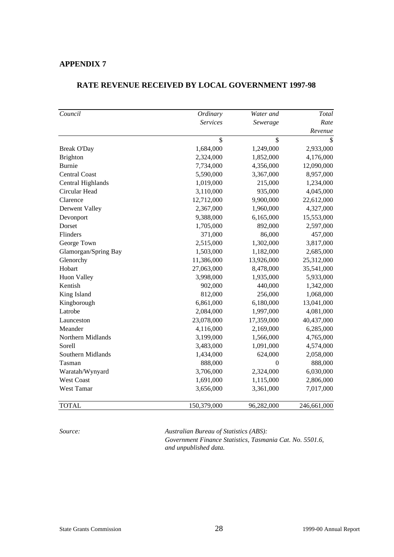| Council              | Ordinary        | Water and        | Total       |
|----------------------|-----------------|------------------|-------------|
|                      | <b>Services</b> | Sewerage         | Rate        |
|                      |                 |                  | Revenue     |
|                      | \$              | \$               | \$          |
| <b>Break O'Day</b>   | 1,684,000       | 1,249,000        | 2,933,000   |
| <b>Brighton</b>      | 2,324,000       | 1,852,000        | 4,176,000   |
| Burnie               | 7,734,000       | 4,356,000        | 12,090,000  |
| <b>Central Coast</b> | 5,590,000       | 3,367,000        | 8,957,000   |
| Central Highlands    | 1,019,000       | 215,000          | 1,234,000   |
| Circular Head        | 3,110,000       | 935,000          | 4,045,000   |
| Clarence             | 12,712,000      | 9,900,000        | 22,612,000  |
| Derwent Valley       | 2,367,000       | 1,960,000        | 4,327,000   |
| Devonport            | 9,388,000       | 6,165,000        | 15,553,000  |
| Dorset               | 1,705,000       | 892,000          | 2,597,000   |
| Flinders             | 371,000         | 86,000           | 457,000     |
| George Town          | 2,515,000       | 1,302,000        | 3,817,000   |
| Glamorgan/Spring Bay | 1,503,000       | 1,182,000        | 2,685,000   |
| Glenorchy            | 11,386,000      | 13,926,000       | 25,312,000  |
| Hobart               | 27,063,000      | 8,478,000        | 35,541,000  |
| <b>Huon Valley</b>   | 3,998,000       | 1,935,000        | 5,933,000   |
| Kentish              | 902,000         | 440,000          | 1,342,000   |
| King Island          | 812,000         | 256,000          | 1,068,000   |
| Kingborough          | 6,861,000       | 6,180,000        | 13,041,000  |
| Latrobe              | 2,084,000       | 1,997,000        | 4,081,000   |
| Launceston           | 23,078,000      | 17,359,000       | 40,437,000  |
| Meander              | 4,116,000       | 2,169,000        | 6,285,000   |
| Northern Midlands    | 3,199,000       | 1,566,000        | 4,765,000   |
| Sorell               | 3,483,000       | 1,091,000        | 4,574,000   |
| Southern Midlands    | 1,434,000       | 624,000          | 2,058,000   |
| Tasman               | 888,000         | $\boldsymbol{0}$ | 888,000     |
| Waratah/Wynyard      | 3,706,000       | 2,324,000        | 6,030,000   |
| West Coast           | 1,691,000       | 1,115,000        | 2,806,000   |
| West Tamar           | 3,656,000       | 3,361,000        | 7,017,000   |
| <b>TOTAL</b>         | 150,379,000     | 96,282,000       | 246,661,000 |

#### **RATE REVENUE RECEIVED BY LOCAL GOVERNMENT 1997-98**

*Source: Australian Bureau of Statistics (ABS): Government Finance Statistics, Tasmania Cat. No. 5501.6, and unpublished data.*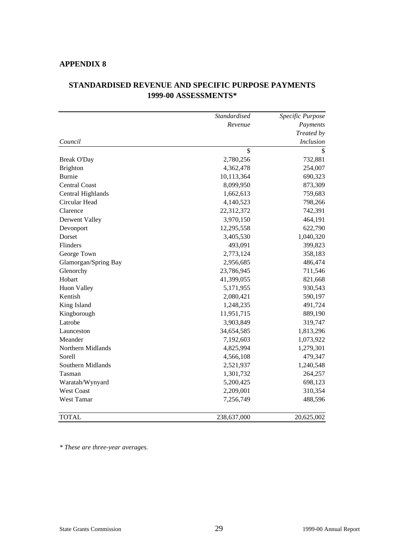|                      | Standardised | Specific Purpose |
|----------------------|--------------|------------------|
|                      | Revenue      | Payments         |
|                      |              | Treated by       |
| Council              |              | <b>Inclusion</b> |
|                      | \$           |                  |
| <b>Break O'Day</b>   | 2,780,256    | 732,881          |
| <b>Brighton</b>      | 4,362,478    | 254,007          |
| Burnie               | 10,113,364   | 690,323          |
| <b>Central Coast</b> | 8,099,950    | 873,309          |
| Central Highlands    | 1,662,613    | 759,683          |
| Circular Head        | 4,140,523    | 798,266          |
| Clarence             | 22,312,372   | 742,391          |
| Derwent Valley       | 3,970,150    | 464,191          |
| Devonport            | 12,295,558   | 622,790          |
| Dorset               | 3,405,530    | 1,040,320        |
| Flinders             | 493,091      | 399,823          |
| George Town          | 2,773,124    | 358,183          |
| Glamorgan/Spring Bay | 2,956,685    | 486,474          |
| Glenorchy            | 23,786,945   | 711,546          |
| Hobart               | 41,399,055   | 821,668          |
| <b>Huon Valley</b>   | 5,171,955    | 930,543          |
| Kentish              | 2,080,421    | 590,197          |
| King Island          | 1,248,235    | 491,724          |
| Kingborough          | 11,951,715   | 889,190          |
| Latrobe              | 3,903,849    | 319,747          |
| Launceston           | 34,654,585   | 1,813,296        |
| Meander              | 7,192,603    | 1,073,922        |
| Northern Midlands    | 4,825,994    | 1,279,301        |
| Sorell               | 4,566,108    | 479,347          |
| Southern Midlands    | 2,521,937    | 1,240,548        |
| Tasman               | 1,301,732    | 264,257          |
| Waratah/Wynyard      | 5,200,425    | 698,123          |
| <b>West Coast</b>    | 2,209,001    | 310,354          |
| West Tamar           | 7,256,749    | 488,596          |
| <b>TOTAL</b>         | 238,637,000  | 20,625,002       |

#### **STANDARDISED REVENUE AND SPECIFIC PURPOSE PAYMENTS 1999-00 ASSESSMENTS\***

*\* These are three-year averages.*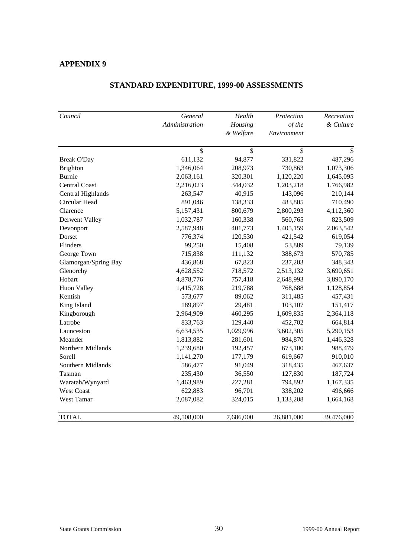| Council              | General        | Health                    | Protection  | Recreation |
|----------------------|----------------|---------------------------|-------------|------------|
|                      | Administration | Housing                   | of the      | & Culture  |
|                      |                | & Welfare                 | Environment |            |
|                      |                |                           |             |            |
|                      | \$             | $\boldsymbol{\mathsf{S}}$ | \$          | \$         |
| <b>Break O'Day</b>   | 611,132        | 94,877                    | 331,822     | 487,296    |
| <b>Brighton</b>      | 1,346,064      | 208,973                   | 730,863     | 1,073,306  |
| <b>Burnie</b>        | 2,063,161      | 320,301                   | 1,120,220   | 1,645,095  |
| <b>Central Coast</b> | 2,216,023      | 344,032                   | 1,203,218   | 1,766,982  |
| Central Highlands    | 263,547        | 40,915                    | 143,096     | 210,144    |
| Circular Head        | 891,046        | 138,333                   | 483,805     | 710,490    |
| Clarence             | 5,157,431      | 800,679                   | 2,800,293   | 4,112,360  |
| Derwent Valley       | 1,032,787      | 160,338                   | 560,765     | 823,509    |
| Devonport            | 2,587,948      | 401,773                   | 1,405,159   | 2,063,542  |
| Dorset               | 776,374        | 120,530                   | 421,542     | 619,054    |
| Flinders             | 99,250         | 15,408                    | 53,889      | 79,139     |
| George Town          | 715,838        | 111,132                   | 388,673     | 570,785    |
| Glamorgan/Spring Bay | 436,868        | 67,823                    | 237,203     | 348,343    |
| Glenorchy            | 4,628,552      | 718,572                   | 2,513,132   | 3,690,651  |
| Hobart               | 4,878,776      | 757,418                   | 2,648,993   | 3,890,170  |
| <b>Huon Valley</b>   | 1,415,728      | 219,788                   | 768,688     | 1,128,854  |
| Kentish              | 573,677        | 89,062                    | 311,485     | 457,431    |
| King Island          | 189,897        | 29,481                    | 103,107     | 151,417    |
| Kingborough          | 2,964,909      | 460,295                   | 1,609,835   | 2,364,118  |
| Latrobe              | 833,763        | 129,440                   | 452,702     | 664,814    |
| Launceston           | 6,634,535      | 1,029,996                 | 3,602,305   | 5,290,153  |
| Meander              | 1,813,882      | 281,601                   | 984,870     | 1,446,328  |
| Northern Midlands    | 1,239,680      | 192,457                   | 673,100     | 988,479    |
| Sorell               | 1,141,270      | 177,179                   | 619,667     | 910,010    |
| Southern Midlands    | 586,477        | 91,049                    | 318,435     | 467,637    |
| Tasman               | 235,430        | 36,550                    | 127,830     | 187,724    |
| Waratah/Wynyard      | 1,463,989      | 227,281                   | 794,892     | 1,167,335  |
| <b>West Coast</b>    | 622,883        | 96,701                    | 338,202     | 496,666    |
| West Tamar           | 2,087,082      | 324,015                   | 1,133,208   | 1,664,168  |
| <b>TOTAL</b>         | 49,508,000     | 7,686,000                 | 26,881,000  | 39,476,000 |

#### **STANDARD EXPENDITURE, 1999-00 ASSESSMENTS**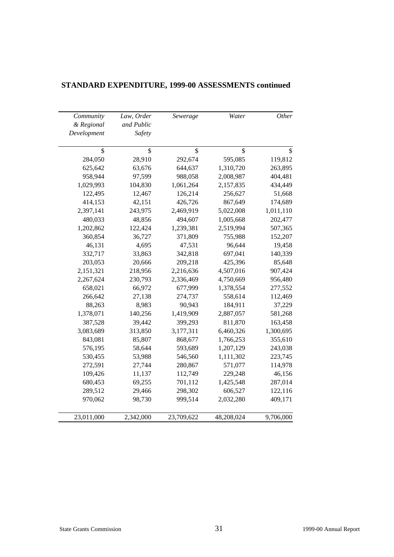| Other     | Water      | Sewerage   | Law, Order | Community   |
|-----------|------------|------------|------------|-------------|
|           |            |            | and Public | & Regional  |
|           |            |            | Safety     | Development |
|           |            |            |            |             |
| \$        | \$         | \$         | \$         | \$          |
| 119,812   | 595,085    | 292,674    | 28,910     | 284,050     |
| 263,895   | 1,310,720  | 644,637    | 63,676     | 625,642     |
| 404,481   | 2,008,987  | 988,058    | 97,599     | 958,944     |
| 434,449   | 2,157,835  | 1,061,264  | 104,830    | 1,029,993   |
| 51,668    | 256,627    | 126,214    | 12,467     | 122,495     |
| 174,689   | 867,649    | 426,726    | 42,151     | 414,153     |
| 1,011,110 | 5,022,008  | 2,469,919  | 243,975    | 2,397,141   |
| 202,477   | 1,005,668  | 494,607    | 48,856     | 480,033     |
| 507,365   | 2,519,994  | 1,239,381  | 122,424    | 1,202,862   |
| 152,207   | 755,988    | 371,809    | 36,727     | 360,854     |
| 19,458    | 96,644     | 47,531     | 4,695      | 46,131      |
| 140,339   | 697,041    | 342,818    | 33,863     | 332,717     |
| 85,648    | 425,396    | 209,218    | 20,666     | 203,053     |
| 907,424   | 4,507,016  | 2,216,636  | 218,956    | 2,151,321   |
| 956,480   | 4,750,669  | 2,336,469  | 230,793    | 2,267,624   |
| 277,552   | 1,378,554  | 677,999    | 66,972     | 658,021     |
| 112,469   | 558,614    | 274,737    | 27,138     | 266,642     |
| 37,229    | 184,911    | 90,943     | 8,983      | 88,263      |
| 581,268   | 2,887,057  | 1,419,909  | 140,256    | 1,378,071   |
| 163,458   | 811,870    | 399,293    | 39,442     | 387,528     |
| 1,300,695 | 6,460,326  | 3,177,311  | 313,850    | 3,083,689   |
| 355,610   | 1,766,253  | 868,677    | 85,807     | 843,081     |
| 243,038   | 1,207,129  | 593,689    | 58,644     | 576,195     |
| 223,745   | 1,111,302  | 546,560    | 53,988     | 530,455     |
| 114,978   | 571,077    | 280,867    | 27,744     | 272,591     |
| 46,156    | 229,248    | 112,749    | 11,137     | 109,426     |
| 287,014   | 1,425,548  | 701,112    | 69,255     | 680,453     |
| 122,116   | 606,527    | 298,302    | 29,466     | 289,512     |
| 409,171   | 2,032,280  | 999,514    | 98,730     | 970,062     |
|           |            |            |            |             |
| 9,706,000 | 48,208,024 | 23,709,622 | 2,342,000  | 23,011,000  |

### **STANDARD EXPENDITURE, 1999-00 ASSESSMENTS continued**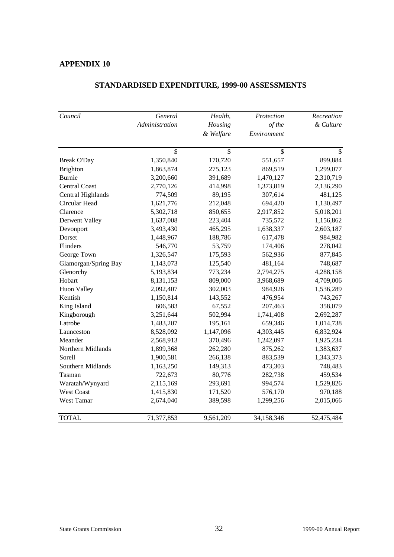| Council              | General        | Health,       | Protection  | Recreation    |
|----------------------|----------------|---------------|-------------|---------------|
|                      | Administration | Housing       | of the      | & Culture     |
|                      |                | & Welfare     | Environment |               |
|                      | \$             | $\mathsf{\$}$ | \$          | $\mathcal{S}$ |
| <b>Break O'Day</b>   | 1,350,840      | 170,720       | 551,657     | 899,884       |
| <b>Brighton</b>      | 1,863,874      | 275,123       | 869,519     | 1,299,077     |
| <b>Burnie</b>        | 3,200,660      | 391,689       | 1,470,127   | 2,310,719     |
| <b>Central Coast</b> | 2,770,126      | 414,998       | 1,373,819   | 2,136,290     |
| Central Highlands    | 774,509        | 89,195        | 307,614     | 481,125       |
| Circular Head        | 1,621,776      | 212,048       | 694,420     | 1,130,497     |
| Clarence             | 5,302,718      | 850,655       | 2,917,852   | 5,018,201     |
| Derwent Valley       | 1,637,008      | 223,404       | 735,572     | 1,156,862     |
| Devonport            | 3,493,430      | 465,295       | 1,638,337   | 2,603,187     |
| Dorset               | 1,448,967      | 188,786       | 617,478     | 984,982       |
| Flinders             | 546,770        | 53,759        | 174,406     | 278,042       |
| George Town          | 1,326,547      | 175,593       | 562,936     | 877,845       |
| Glamorgan/Spring Bay | 1,143,073      | 125,540       | 481,164     | 748,687       |
| Glenorchy            | 5,193,834      | 773,234       | 2,794,275   | 4,288,158     |
| Hobart               | 8,131,153      | 809,000       | 3,968,689   | 4,709,006     |
| Huon Valley          | 2,092,407      | 302,003       | 984,926     | 1,536,289     |
| Kentish              | 1,150,814      | 143,552       | 476,954     | 743,267       |
| King Island          | 606,583        | 67,552        | 207,463     | 358,079       |
| Kingborough          | 3,251,644      | 502,994       | 1,741,408   | 2,692,287     |
| Latrobe              | 1,483,207      | 195,161       | 659,346     | 1,014,738     |
| Launceston           | 8,528,092      | 1,147,096     | 4,303,445   | 6,832,924     |
| Meander              | 2,568,913      | 370,496       | 1,242,097   | 1,925,234     |
| Northern Midlands    | 1,899,368      | 262,280       | 875,262     | 1,383,637     |
| Sorell               | 1,900,581      | 266,138       | 883,539     | 1,343,373     |
| Southern Midlands    | 1,163,250      | 149,313       | 473,303     | 748,483       |
| Tasman               | 722,673        | 80,776        | 282,738     | 459,534       |
| Waratah/Wynyard      | 2,115,169      | 293,691       | 994,574     | 1,529,826     |
| <b>West Coast</b>    | 1,415,830      | 171,520       | 576,170     | 970,188       |
| West Tamar           | 2,674,040      | 389,598       | 1,299,256   | 2,015,066     |
| <b>TOTAL</b>         | 71,377,853     | 9,561,209     | 34,158,346  | 52,475,484    |

#### **STANDARDISED EXPENDITURE, 1999-00 ASSESSMENTS**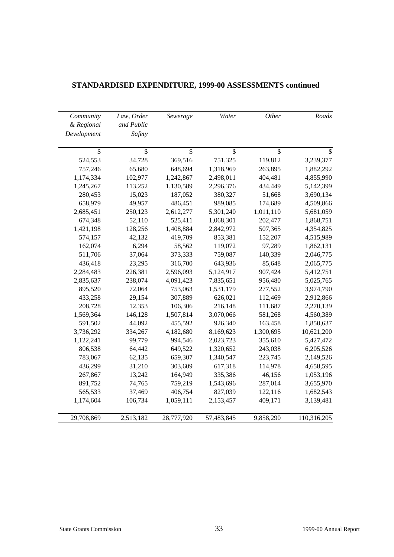| Community   | Law, Order | Sewerage   | Water      | Other              | Roads              |
|-------------|------------|------------|------------|--------------------|--------------------|
| & Regional  | and Public |            |            |                    |                    |
| Development | Safety     |            |            |                    |                    |
|             |            |            |            |                    |                    |
| \$          | \$         | \$         | \$         | $\mathbf{\hat{S}}$ | $\mathbf{\hat{S}}$ |
| 524,553     | 34,728     | 369,516    | 751,325    | 119,812            | 3,239,377          |
| 757,246     | 65,680     | 648,694    | 1,318,969  | 263,895            | 1,882,292          |
| 1,174,334   | 102,977    | 1,242,867  | 2,498,011  | 404,481            | 4,855,990          |
| 1,245,267   | 113,252    | 1,130,589  | 2,296,376  | 434,449            | 5,142,399          |
| 280,453     | 15,023     | 187,052    | 380,327    | 51,668             | 3,690,134          |
| 658,979     | 49,957     | 486,451    | 989,085    | 174,689            | 4,509,866          |
| 2,685,451   | 250,123    | 2,612,277  | 5,301,240  | 1,011,110          | 5,681,059          |
| 674,348     | 52,110     | 525,411    | 1,068,301  | 202,477            | 1,868,751          |
| 1,421,198   | 128,256    | 1,408,884  | 2,842,972  | 507,365            | 4,354,825          |
| 574,157     | 42,132     | 419,709    | 853,381    | 152,207            | 4,515,989          |
| 162,074     | 6,294      | 58,562     | 119,072    | 97,289             | 1,862,131          |
| 511,706     | 37,064     | 373,333    | 759,087    | 140,339            | 2,046,775          |
| 436,418     | 23,295     | 316,700    | 643,936    | 85,648             | 2,065,775          |
| 2,284,483   | 226,381    | 2,596,093  | 5,124,917  | 907,424            | 5,412,751          |
| 2,835,637   | 238,074    | 4,091,423  | 7,835,651  | 956,480            | 5,025,765          |
| 895,520     | 72,064     | 753,063    | 1,531,179  | 277,552            | 3,974,790          |
| 433,258     | 29,154     | 307,889    | 626,021    | 112,469            | 2,912,866          |
| 208,728     | 12,353     | 106,306    | 216,148    | 111,687            | 2,270,139          |
| 1,569,364   | 146,128    | 1,507,814  | 3,070,066  | 581,268            | 4,560,389          |
| 591,502     | 44,092     | 455,592    | 926,340    | 163,458            | 1,850,637          |
| 3,736,292   | 334,267    | 4,182,680  | 8,169,623  | 1,300,695          | 10,621,200         |
| 1,122,241   | 99,779     | 994,546    | 2,023,723  | 355,610            | 5,427,472          |
| 806,538     | 64,442     | 649,522    | 1,320,652  | 243,038            | 6,205,526          |
| 783,067     | 62,135     | 659,307    | 1,340,547  | 223,745            | 2,149,526          |
| 436,299     | 31,210     | 303,609    | 617,318    | 114,978            | 4,658,595          |
| 267,867     | 13,242     | 164,949    | 335,386    | 46,156             | 1,053,196          |
| 891,752     | 74,765     | 759,219    | 1,543,696  | 287,014            | 3,655,970          |
| 565,533     | 37,469     | 406,754    | 827,039    | 122,116            | 1,682,543          |
| 1,174,604   | 106,734    | 1,059,111  | 2,153,457  | 409,171            | 3,139,481          |
|             |            |            |            |                    |                    |
| 29,708,869  | 2,513,182  | 28,777,920 | 57,483,845 | 9,858,290          | 110,316,205        |

### **STANDARDISED EXPENDITURE, 1999-00 ASSESSMENTS continued**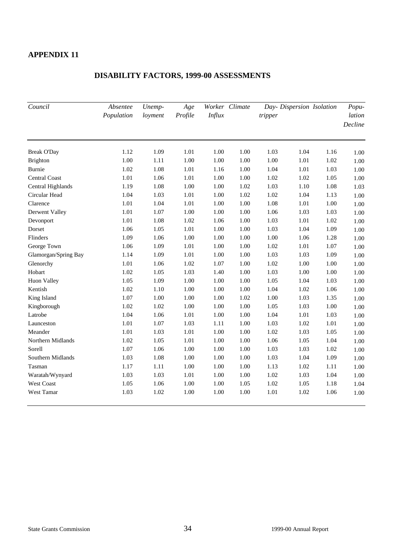| Council                  | Absentee<br>Population | Unemp-<br>loyment | Age<br>Profile | <b>Influx</b> | Worker Climate | tripper | Day- Dispersion Isolation |          | Popu-<br>lation |
|--------------------------|------------------------|-------------------|----------------|---------------|----------------|---------|---------------------------|----------|-----------------|
|                          |                        |                   |                |               |                |         |                           |          | Decline         |
| <b>Break O'Day</b>       | 1.12                   | 1.09              | 1.01           | 1.00          | 1.00           | 1.03    | 1.04                      | 1.16     | 1.00            |
| <b>Brighton</b>          | 1.00                   | 1.11              | 1.00           | 1.00          | 1.00           | 1.00    | 1.01                      | 1.02     | 1.00            |
| <b>Burnie</b>            | 1.02                   | 1.08              | 1.01           | 1.16          | 1.00           | 1.04    | 1.01                      | 1.03     | 1.00            |
| <b>Central Coast</b>     | 1.01                   | 1.06              | 1.01           | 1.00          | 1.00           | 1.02    | 1.02                      | 1.05     | 1.00            |
| <b>Central Highlands</b> | 1.19                   | 1.08              | 1.00           | 1.00          | 1.02           | 1.03    | 1.10                      | 1.08     | 1.03            |
| Circular Head            | 1.04                   | 1.03              | 1.01           | 1.00          | 1.02           | 1.02    | 1.04                      | 1.13     | 1.00            |
| Clarence                 | 1.01                   | 1.04              | 1.01           | 1.00          | 1.00           | 1.08    | 1.01                      | $1.00\,$ | 1.00            |
| Derwent Valley           | 1.01                   | 1.07              | 1.00           | 1.00          | 1.00           | 1.06    | 1.03                      | 1.03     | 1.00            |
| Devonport                | 1.01                   | 1.08              | 1.02           | 1.06          | 1.00           | 1.03    | 1.01                      | 1.02     | 1.00            |
| Dorset                   | 1.06                   | 1.05              | 1.01           | 1.00          | 1.00           | 1.03    | 1.04                      | 1.09     | 1.00            |
| Flinders                 | 1.09                   | 1.06              | 1.00           | 1.00          | 1.00           | 1.00    | 1.06                      | 1.28     | 1.00            |
| George Town              | 1.06                   | 1.09              | 1.01           | 1.00          | 1.00           | 1.02    | 1.01                      | 1.07     | 1.00            |
| Glamorgan/Spring Bay     | 1.14                   | 1.09              | 1.01           | 1.00          | 1.00           | 1.03    | 1.03                      | 1.09     | 1.00            |
| Glenorchy                | 1.01                   | 1.06              | 1.02           | 1.07          | 1.00           | 1.02    | 1.00                      | 1.00     | 1.00            |
| Hobart                   | 1.02                   | 1.05              | 1.03           | 1.40          | 1.00           | 1.03    | 1.00                      | $1.00\,$ | 1.00            |
| Huon Valley              | 1.05                   | 1.09              | 1.00           | 1.00          | 1.00           | 1.05    | 1.04                      | 1.03     | 1.00            |
| Kentish                  | 1.02                   | 1.10              | 1.00           | 1.00          | 1.00           | 1.04    | 1.02                      | 1.06     | 1.00            |
| King Island              | 1.07                   | 1.00              | 1.00           | 1.00          | 1.02           | 1.00    | 1.03                      | 1.35     | 1.00            |
| Kingborough              | 1.02                   | 1.02              | 1.00           | 1.00          | 1.00           | 1.05    | 1.03                      | 1.00     | 1.00            |
| Latrobe                  | 1.04                   | 1.06              | 1.01           | 1.00          | 1.00           | 1.04    | 1.01                      | 1.03     | 1.00            |
| Launceston               | 1.01                   | 1.07              | 1.03           | $1.11$        | $1.00\,$       | 1.03    | 1.02                      | 1.01     | 1.00            |
| Meander                  | 1.01                   | 1.03              | 1.01           | 1.00          | 1.00           | 1.02    | 1.03                      | 1.05     | 1.00            |
| Northern Midlands        | 1.02                   | 1.05              | 1.01           | 1.00          | 1.00           | 1.06    | 1.05                      | 1.04     | 1.00            |
| Sorell                   | 1.07                   | 1.06              | 1.00           | 1.00          | 1.00           | 1.03    | 1.03                      | 1.02     | 1.00            |
| Southern Midlands        | 1.03                   | 1.08              | 1.00           | 1.00          | 1.00           | 1.03    | 1.04                      | 1.09     | 1.00            |
| Tasman                   | 1.17                   | 1.11              | 1.00           | 1.00          | 1.00           | 1.13    | 1.02                      | 1.11     | 1.00            |
| Waratah/Wynyard          | 1.03                   | 1.03              | 1.01           | 1.00          | 1.00           | 1.02    | 1.03                      | 1.04     | 1.00            |
| West Coast               | 1.05                   | 1.06              | 1.00           | 1.00          | 1.05           | 1.02    | 1.05                      | 1.18     | 1.04            |
| West Tamar               | 1.03                   | 1.02              | 1.00           | 1.00          | 1.00           | 1.01    | 1.02                      | 1.06     | 1.00            |

#### **DISABILITY FACTORS, 1999-00 ASSESSMENTS**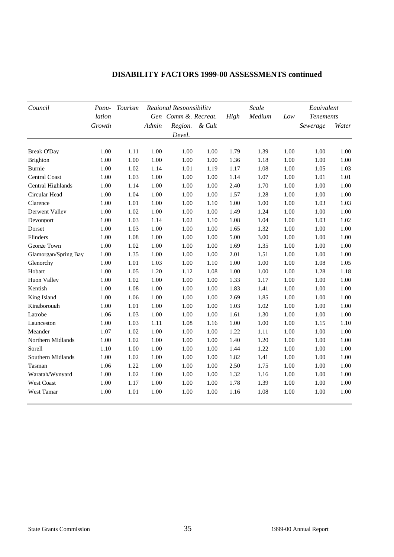| Council              | Popu-  | Tourism |       | Regional Responsibility |      |      | Scale  |      | Equivalent       |       |
|----------------------|--------|---------|-------|-------------------------|------|------|--------|------|------------------|-------|
|                      | lation |         |       | Gen Comm &. Recreat.    |      | High | Medium | Low  | <b>Tenements</b> |       |
|                      | Growth |         | Admin | Region. & Cult          |      |      |        |      | Sewerage         | Water |
|                      |        |         |       | Devel.                  |      |      |        |      |                  |       |
| <b>Break O'Day</b>   | 1.00   | 1.11    | 1.00  | 1.00                    | 1.00 | 1.79 | 1.39   | 1.00 | 1.00             | 1.00  |
| Brighton             | 1.00   | 1.00    | 1.00  | 1.00                    | 1.00 | 1.36 | 1.18   | 1.00 | 1.00             | 1.00  |
| Burnie               | 1.00   | 1.02    | 1.14  | 1.01                    | 1.19 | 1.17 | 1.08   | 1.00 | 1.05             | 1.03  |
| <b>Central Coast</b> | 1.00   | 1.03    | 1.00  | 1.00                    | 1.00 | 1.14 | 1.07   | 1.00 | 1.01             | 1.01  |
| Central Highlands    | 1.00   | 1.14    | 1.00  | 1.00                    | 1.00 | 2.40 | 1.70   | 1.00 | 1.00             | 1.00  |
| Circular Head        | 1.00   | 1.04    | 1.00  | 1.00                    | 1.00 | 1.57 | 1.28   | 1.00 | 1.00             | 1.00  |
| Clarence             | 1.00   | 1.01    | 1.00  | 1.00                    | 1.10 | 1.00 | 1.00   | 1.00 | 1.03             | 1.03  |
| Derwent Valley       | 1.00   | 1.02    | 1.00  | 1.00                    | 1.00 | 1.49 | 1.24   | 1.00 | 1.00             | 1.00  |
| Devonport            | 1.00   | 1.03    | 1.14  | 1.02                    | 1.10 | 1.08 | 1.04   | 1.00 | 1.03             | 1.02  |
| Dorset               | 1.00   | 1.03    | 1.00  | 1.00                    | 1.00 | 1.65 | 1.32   | 1.00 | 1.00             | 1.00  |
| Flinders             | 1.00   | 1.08    | 1.00  | 1.00                    | 1.00 | 5.00 | 3.00   | 1.00 | 1.00             | 1.00  |
| George Town          | 1.00   | 1.02    | 1.00  | 1.00                    | 1.00 | 1.69 | 1.35   | 1.00 | 1.00             | 1.00  |
| Glamorgan/Spring Bay | 1.00   | 1.35    | 1.00  | 1.00                    | 1.00 | 2.01 | 1.51   | 1.00 | 1.00             | 1.00  |
| Glenorchy            | 1.00   | 1.01    | 1.03  | 1.00                    | 1.10 | 1.00 | 1.00   | 1.00 | 1.08             | 1.05  |
| Hobart               | 1.00   | 1.05    | 1.20  | 1.12                    | 1.08 | 1.00 | 1.00   | 1.00 | 1.28             | 1.18  |
| Huon Valley          | 1.00   | 1.02    | 1.00  | 1.00                    | 1.00 | 1.33 | 1.17   | 1.00 | 1.00             | 1.00  |
| Kentish              | 1.00   | 1.08    | 1.00  | 1.00                    | 1.00 | 1.83 | 1.41   | 1.00 | 1.00             | 1.00  |
| King Island          | 1.00   | 1.06    | 1.00  | 1.00                    | 1.00 | 2.69 | 1.85   | 1.00 | 1.00             | 1.00  |
| Kingborough          | 1.00   | 1.01    | 1.00  | 1.00                    | 1.00 | 1.03 | 1.02   | 1.00 | 1.00             | 1.00  |
| Latrobe              | 1.06   | 1.03    | 1.00  | 1.00                    | 1.00 | 1.61 | 1.30   | 1.00 | 1.00             | 1.00  |
| Launceston           | 1.00   | 1.03    | 1.11  | 1.08                    | 1.16 | 1.00 | 1.00   | 1.00 | 1.15             | 1.10  |
| Meander              | 1.07   | 1.02    | 1.00  | 1.00                    | 1.00 | 1.22 | 1.11   | 1.00 | 1.00             | 1.00  |
| Northern Midlands    | 1.00   | 1.02    | 1.00  | 1.00                    | 1.00 | 1.40 | 1.20   | 1.00 | 1.00             | 1.00  |
| Sorell               | 1.10   | 1.00    | 1.00  | 1.00                    | 1.00 | 1.44 | 1.22   | 1.00 | 1.00             | 1.00  |
| Southern Midlands    | 1.00   | 1.02    | 1.00  | 1.00                    | 1.00 | 1.82 | 1.41   | 1.00 | 1.00             | 1.00  |
| Tasman               | 1.06   | 1.22    | 1.00  | 1.00                    | 1.00 | 2.50 | 1.75   | 1.00 | 1.00             | 1.00  |
| Waratah/Wynyard      | 1.00   | 1.02    | 1.00  | 1.00                    | 1.00 | 1.32 | 1.16   | 1.00 | 1.00             | 1.00  |
| West Coast           | 1.00   | 1.17    | 1.00  | 1.00                    | 1.00 | 1.78 | 1.39   | 1.00 | 1.00             | 1.00  |
| West Tamar           | 1.00   | 1.01    | 1.00  | 1.00                    | 1.00 | 1.16 | 1.08   | 1.00 | 1.00             | 1.00  |

#### **DISABILITY FACTORS 1999-00 ASSESSMENTS continued**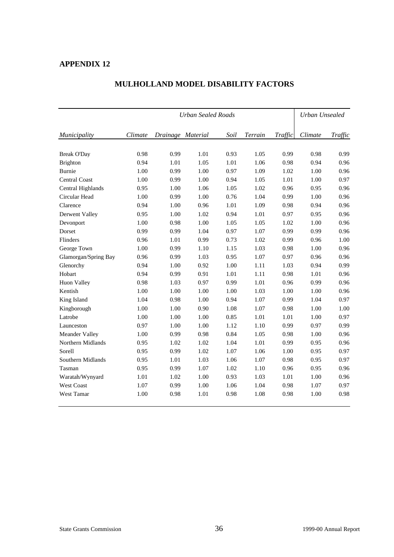|                      |         |                   | <b>Urban Sealed Roads</b> |      |         |         | Urban Unsealed |         |
|----------------------|---------|-------------------|---------------------------|------|---------|---------|----------------|---------|
| Municipality         | Climate | Drainage Material |                           | Soil | Terrain | Traffic | Climate        | Traffic |
| <b>Break O'Day</b>   | 0.98    | 0.99              | 1.01                      | 0.93 | 1.05    | 0.99    | 0.98           | 0.99    |
| Brighton             | 0.94    | 1.01              | 1.05                      | 1.01 | 1.06    | 0.98    | 0.94           | 0.96    |
| Burnie               | 1.00    | 0.99              | 1.00                      | 0.97 | 1.09    | 1.02    | 1.00           | 0.96    |
| <b>Central Coast</b> | 1.00    | 0.99              | 1.00                      | 0.94 | 1.05    | 1.01    | 1.00           | 0.97    |
| Central Highlands    | 0.95    | 1.00              | 1.06                      | 1.05 | 1.02    | 0.96    | 0.95           | 0.96    |
| Circular Head        | 1.00    | 0.99              | 1.00                      | 0.76 | 1.04    | 0.99    | 1.00           | 0.96    |
| Clarence             | 0.94    | 1.00              | 0.96                      | 1.01 | 1.09    | 0.98    | 0.94           | 0.96    |
| Derwent Valley       | 0.95    | 1.00              | 1.02                      | 0.94 | 1.01    | 0.97    | 0.95           | 0.96    |
| Devonport            | 1.00    | 0.98              | 1.00                      | 1.05 | 1.05    | 1.02    | 1.00           | 0.96    |
| Dorset               | 0.99    | 0.99              | 1.04                      | 0.97 | 1.07    | 0.99    | 0.99           | 0.96    |
| Flinders             | 0.96    | 1.01              | 0.99                      | 0.73 | 1.02    | 0.99    | 0.96           | 1.00    |
| George Town          | 1.00    | 0.99              | 1.10                      | 1.15 | 1.03    | 0.98    | 1.00           | 0.96    |
| Glamorgan/Spring Bay | 0.96    | 0.99              | 1.03                      | 0.95 | 1.07    | 0.97    | 0.96           | 0.96    |
| Glenorchy            | 0.94    | 1.00              | 0.92                      | 1.00 | 1.11    | 1.03    | 0.94           | 0.99    |
| Hobart               | 0.94    | 0.99              | 0.91                      | 1.01 | 1.11    | 0.98    | 1.01           | 0.96    |
| <b>Huon Valley</b>   | 0.98    | 1.03              | 0.97                      | 0.99 | 1.01    | 0.96    | 0.99           | 0.96    |
| Kentish              | 1.00    | 1.00              | 1.00                      | 1.00 | 1.03    | 1.00    | 1.00           | 0.96    |
| King Island          | 1.04    | 0.98              | 1.00                      | 0.94 | 1.07    | 0.99    | 1.04           | 0.97    |
| Kingborough          | 1.00    | 1.00              | 0.90                      | 1.08 | 1.07    | 0.98    | 1.00           | 1.00    |
| Latrobe              | 1.00    | 1.00              | 1.00                      | 0.85 | 1.01    | 1.01    | 1.00           | 0.97    |
| Launceston           | 0.97    | 1.00              | 1.00                      | 1.12 | 1.10    | 0.99    | 0.97           | 0.99    |
| Meander Valley       | 1.00    | 0.99              | 0.98                      | 0.84 | 1.05    | 0.98    | 1.00           | 0.96    |
| Northern Midlands    | 0.95    | 1.02              | 1.02                      | 1.04 | 1.01    | 0.99    | 0.95           | 0.96    |
| Sorell               | 0.95    | 0.99              | 1.02                      | 1.07 | 1.06    | 1.00    | 0.95           | 0.97    |
| Southern Midlands    | 0.95    | 1.01              | 1.03                      | 1.06 | 1.07    | 0.98    | 0.95           | 0.97    |
| Tasman               | 0.95    | 0.99              | 1.07                      | 1.02 | 1.10    | 0.96    | 0.95           | 0.96    |
| Waratah/Wynyard      | 1.01    | 1.02              | 1.00                      | 0.93 | 1.03    | 1.01    | 1.00           | 0.96    |
| <b>West Coast</b>    | 1.07    | 0.99              | 1.00                      | 1.06 | 1.04    | 0.98    | 1.07           | 0.97    |
| <b>West Tamar</b>    | 1.00    | 0.98              | 1.01                      | 0.98 | 1.08    | 0.98    | 1.00           | 0.98    |

#### **MULHOLLAND MODEL DISABILITY FACTORS**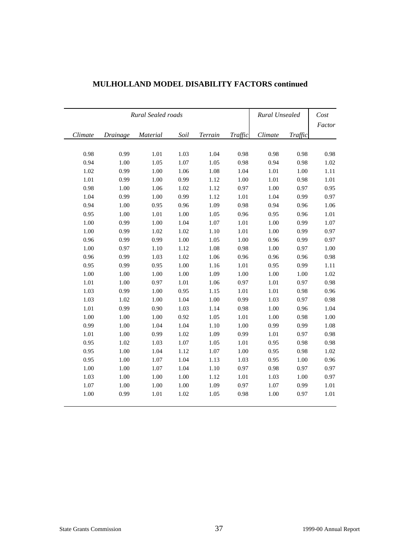| Rural Sealed roads |          |          |      |         |         | Rural Unsealed |         | Cost<br>Factor |
|--------------------|----------|----------|------|---------|---------|----------------|---------|----------------|
| Climate            | Drainage | Material | Soil | Terrain | Traffic | Climate        | Traffic |                |
|                    |          |          |      |         |         |                |         |                |
| 0.98               | 0.99     | 1.01     | 1.03 | 1.04    | 0.98    | 0.98           | 0.98    | 0.98           |
| 0.94               | 1.00     | 1.05     | 1.07 | 1.05    | 0.98    | 0.94           | 0.98    | 1.02           |
| 1.02               | 0.99     | 1.00     | 1.06 | 1.08    | 1.04    | 1.01           | 1.00    | 1.11           |
| 1.01               | 0.99     | 1.00     | 0.99 | 1.12    | 1.00    | 1.01           | 0.98    | 1.01           |
| 0.98               | 1.00     | 1.06     | 1.02 | 1.12    | 0.97    | 1.00           | 0.97    | 0.95           |
| 1.04               | 0.99     | 1.00     | 0.99 | 1.12    | 1.01    | 1.04           | 0.99    | 0.97           |
| 0.94               | 1.00     | 0.95     | 0.96 | 1.09    | 0.98    | 0.94           | 0.96    | 1.06           |
| 0.95               | 1.00     | 1.01     | 1.00 | 1.05    | 0.96    | 0.95           | 0.96    | 1.01           |
| 1.00               | 0.99     | 1.00     | 1.04 | 1.07    | 1.01    | $1.00\,$       | 0.99    | 1.07           |
| 1.00               | 0.99     | 1.02     | 1.02 | 1.10    | 1.01    | 1.00           | 0.99    | 0.97           |
| 0.96               | 0.99     | 0.99     | 1.00 | 1.05    | 1.00    | 0.96           | 0.99    | 0.97           |
| 1.00               | 0.97     | 1.10     | 1.12 | 1.08    | 0.98    | 1.00           | 0.97    | 1.00           |
| 0.96               | 0.99     | 1.03     | 1.02 | 1.06    | 0.96    | 0.96           | 0.96    | 0.98           |
| 0.95               | 0.99     | 0.95     | 1.00 | 1.16    | 1.01    | 0.95           | 0.99    | 1.11           |
| 1.00               | 1.00     | 1.00     | 1.00 | 1.09    | 1.00    | 1.00           | 1.00    | 1.02           |
| 1.01               | 1.00     | 0.97     | 1.01 | 1.06    | 0.97    | 1.01           | 0.97    | 0.98           |
| 1.03               | 0.99     | 1.00     | 0.95 | 1.15    | 1.01    | 1.01           | 0.98    | 0.96           |
| 1.03               | 1.02     | 1.00     | 1.04 | 1.00    | 0.99    | 1.03           | 0.97    | 0.98           |
| 1.01               | 0.99     | 0.90     | 1.03 | 1.14    | 0.98    | $1.00\,$       | 0.96    | 1.04           |
| 1.00               | 1.00     | 1.00     | 0.92 | 1.05    | 1.01    | 1.00           | 0.98    | 1.00           |
| 0.99               | 1.00     | 1.04     | 1.04 | 1.10    | 1.00    | 0.99           | 0.99    | 1.08           |
| 1.01               | 1.00     | 0.99     | 1.02 | 1.09    | 0.99    | 1.01           | 0.97    | 0.98           |
| 0.95               | 1.02     | 1.03     | 1.07 | 1.05    | 1.01    | 0.95           | 0.98    | 0.98           |
| 0.95               | 1.00     | 1.04     | 1.12 | 1.07    | 1.00    | 0.95           | 0.98    | 1.02           |
| 0.95               | 1.00     | 1.07     | 1.04 | 1.13    | 1.03    | 0.95           | 1.00    | 0.96           |
| 1.00               | 1.00     | 1.07     | 1.04 | 1.10    | 0.97    | 0.98           | 0.97    | 0.97           |
| 1.03               | 1.00     | 1.00     | 1.00 | 1.12    | 1.01    | 1.03           | 1.00    | 0.97           |
| 1.07               | 1.00     | 1.00     | 1.00 | 1.09    | 0.97    | 1.07           | 0.99    | 1.01           |
| 1.00               | 0.99     | 1.01     | 1.02 | 1.05    | 0.98    | 1.00           | 0.97    | 1.01           |

#### **MULHOLLAND MODEL DISABILITY FACTORS continued**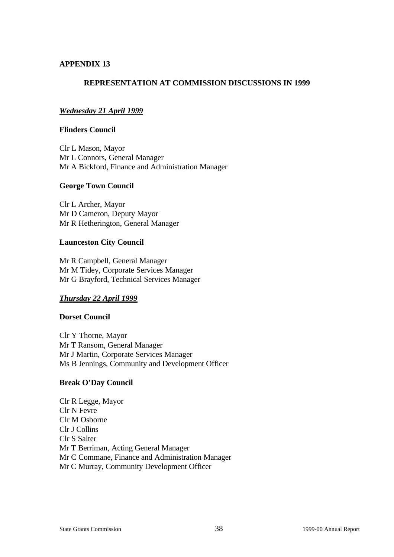#### **REPRESENTATION AT COMMISSION DISCUSSIONS IN 1999**

#### *Wednesday 21 April 1999*

#### **Flinders Council**

Clr L Mason, Mayor Mr L Connors, General Manager Mr A Bickford, Finance and Administration Manager

#### **George Town Council**

Clr L Archer, Mayor Mr D Cameron, Deputy Mayor Mr R Hetherington, General Manager

#### **Launceston City Council**

Mr R Campbell, General Manager Mr M Tidey, Corporate Services Manager Mr G Brayford, Technical Services Manager

#### *Thursday 22 April 1999*

#### **Dorset Council**

Clr Y Thorne, Mayor Mr T Ransom, General Manager Mr J Martin, Corporate Services Manager Ms B Jennings, Community and Development Officer

#### **Break O'Day Council**

Clr R Legge, Mayor Clr N Fevre Clr M Osborne Clr J Collins Clr S Salter Mr T Berriman, Acting General Manager Mr C Commane, Finance and Administration Manager Mr C Murray, Community Development Officer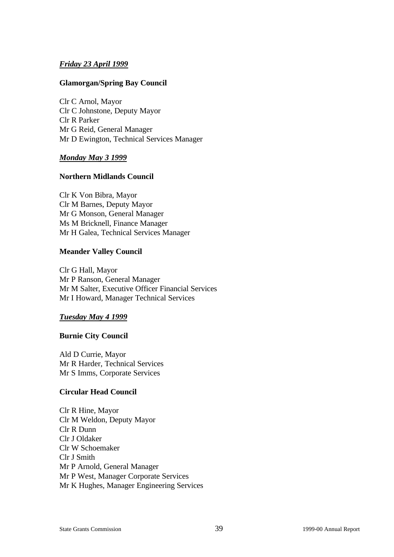#### *Friday 23 April 1999*

#### **Glamorgan/Spring Bay Council**

Clr C Arnol, Mayor Clr C Johnstone, Deputy Mayor Clr R Parker Mr G Reid, General Manager Mr D Ewington, Technical Services Manager

#### *Monday May 3 1999*

#### **Northern Midlands Council**

Clr K Von Bibra, Mayor Clr M Barnes, Deputy Mayor Mr G Monson, General Manager Ms M Bricknell, Finance Manager Mr H Galea, Technical Services Manager

#### **Meander Valley Council**

Clr G Hall, Mayor Mr P Ranson, General Manager Mr M Salter, Executive Officer Financial Services Mr I Howard, Manager Technical Services

#### *Tuesday May 4 1999*

#### **Burnie City Council**

Ald D Currie, Mayor Mr R Harder, Technical Services Mr S Imms, Corporate Services

#### **Circular Head Council**

Clr R Hine, Mayor Clr M Weldon, Deputy Mayor Clr R Dunn Clr J Oldaker Clr W Schoemaker Clr J Smith Mr P Arnold, General Manager Mr P West, Manager Corporate Services Mr K Hughes, Manager Engineering Services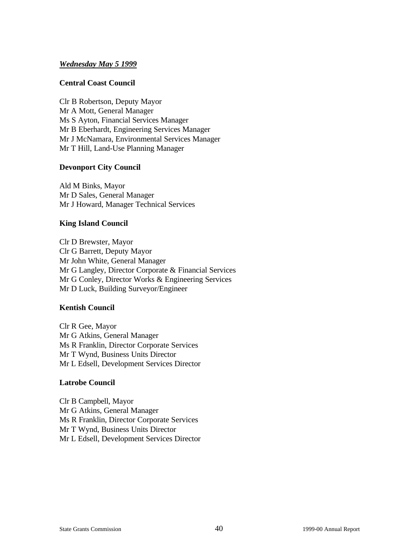#### *Wednesday May 5 1999*

#### **Central Coast Council**

Clr B Robertson, Deputy Mayor Mr A Mott, General Manager Ms S Ayton, Financial Services Manager Mr B Eberhardt, Engineering Services Manager Mr J McNamara, Environmental Services Manager Mr T Hill, Land-Use Planning Manager

#### **Devonport City Council**

Ald M Binks, Mayor Mr D Sales, General Manager Mr J Howard, Manager Technical Services

#### **King Island Council**

Clr D Brewster, Mayor Clr G Barrett, Deputy Mayor Mr John White, General Manager Mr G Langley, Director Corporate & Financial Services Mr G Conley, Director Works & Engineering Services Mr D Luck, Building Surveyor/Engineer

#### **Kentish Council**

Clr R Gee, Mayor Mr G Atkins, General Manager Ms R Franklin, Director Corporate Services Mr T Wynd, Business Units Director Mr L Edsell, Development Services Director

#### **Latrobe Council**

Clr B Campbell, Mayor Mr G Atkins, General Manager Ms R Franklin, Director Corporate Services Mr T Wynd, Business Units Director Mr L Edsell, Development Services Director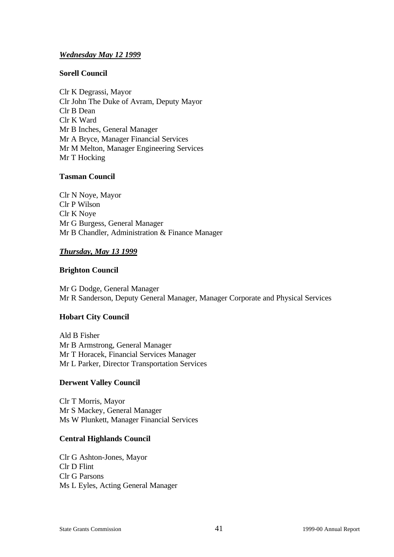#### *Wednesday May 12 1999*

#### **Sorell Council**

Clr K Degrassi, Mayor Clr John The Duke of Avram, Deputy Mayor Clr B Dean Clr K Ward Mr B Inches, General Manager Mr A Bryce, Manager Financial Services Mr M Melton, Manager Engineering Services Mr T Hocking

#### **Tasman Council**

Clr N Noye, Mayor Clr P Wilson Clr K Noye Mr G Burgess, General Manager Mr B Chandler, Administration & Finance Manager

#### *Thursday, May 13 1999*

#### **Brighton Council**

Mr G Dodge, General Manager Mr R Sanderson, Deputy General Manager, Manager Corporate and Physical Services

#### **Hobart City Council**

Ald B Fisher Mr B Armstrong, General Manager Mr T Horacek, Financial Services Manager Mr L Parker, Director Transportation Services

#### **Derwent Valley Council**

Clr T Morris, Mayor Mr S Mackey, General Manager Ms W Plunkett, Manager Financial Services

#### **Central Highlands Council**

Clr G Ashton-Jones, Mayor Clr D Flint Clr G Parsons Ms L Eyles, Acting General Manager